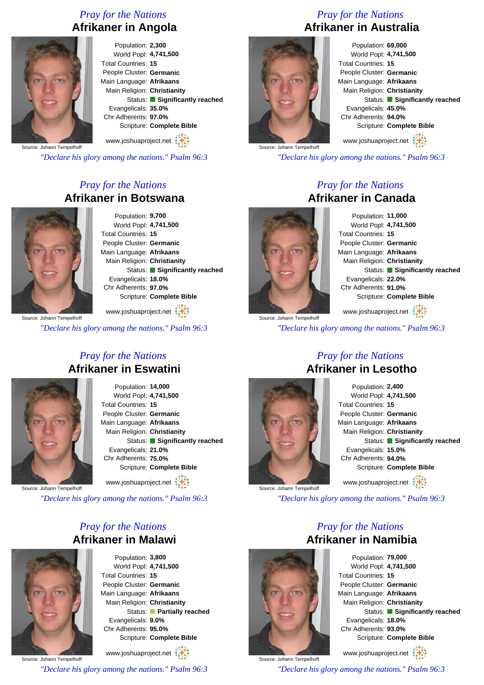#### *Pray for the Nations* **Afrikaner in Angola**



Population: **2,300** World Popl: **4,741,500** Total Countries: **15** People Cluster: **Germanic** Main Language: **Afrikaans** Main Religion: **Christianity** Status: **Significantly reached** Evangelicals: **35.0%** Chr Adherents: **97.0%** Scripture: **Complete Bible**

www.joshuaproject.net

Source: Johann Tempelhoff

*"Declare his glory among the nations." Psalm 96:3*

#### *Pray for the Nations* **Afrikaner in Botswana**



Population: **9,700** World Popl: **4,741,500** Total Countries: **15** People Cluster: **Germanic** Main Language: **Afrikaans** Main Religion: **Christianity** Status: **Significantly reached** Evangelicals: **18.0%** Chr Adherents: **97.0%** Scripture: **Complete Bible**

www.joshuaproject.net :

*"Declare his glory among the nations." Psalm 96:3*

#### *Pray for the Nations* **Afrikaner in Eswatini**



Population: **14,000** World Popl: **4,741,500** Total Countries: **15** People Cluster: **Germanic** Main Language: **Afrikaans** Main Religion: **Christianity** Status: **Significantly reached** Evangelicals: **21.0%** Chr Adherents: **75.0%** Scripture: **Complete Bible**

www.joshuaproject.net

Source: Johann Tempelhoff

*"Declare his glory among the nations." Psalm 96:3*

#### *Pray for the Nations* **Afrikaner in Malawi**



Population: **3,800** World Popl: **4,741,500** Total Countries: **15** People Cluster: **Germanic** Main Language: **Afrikaans** Main Religion: **Christianity** Status: **Partially reached** Evangelicals: **9.0%** Chr Adherents: **95.0%** Scripture: **Complete Bible**

Source: Johann Tempelhoff www.joshuaproject.net

*"Declare his glory among the nations." Psalm 96:3*

#### *Pray for the Nations* **Afrikaner in Australia**



Population: **69,000** World Popl: **4,741,500** Total Countries: **15** People Cluster: **Germanic** Main Language: **Afrikaans** Main Religion: **Christianity** Status: **Significantly reached** Evangelicals: **45.0%** Chr Adherents: **94.0%** Scripture: **Complete Bible** www.joshuaproject.net

*"Declare his glory among the nations." Psalm 96:3*

#### *Pray for the Nations* **Afrikaner in Canada**



Population: **11,000** World Popl: **4,741,500** Total Countries: **15** People Cluster: **Germanic** Main Language: **Afrikaans** Main Religion: **Christianity** Status: **Significantly reached** Evangelicals: **22.0%** Chr Adherents: **91.0%** Scripture: **Complete Bible** www.joshuaproject.net

Source: Johann Tempelhoff *"Declare his glory among the nations." Psalm 96:3*

#### *Pray for the Nations* **Afrikaner in Lesotho**



*"Declare his glory among the nations." Psalm 96:3*

#### *Pray for the Nations* **Afrikaner in Namibia**



www.joshuaproject.net

*"Declare his glory among the nations." Psalm 96:3*



Source: Johann Tempelhoff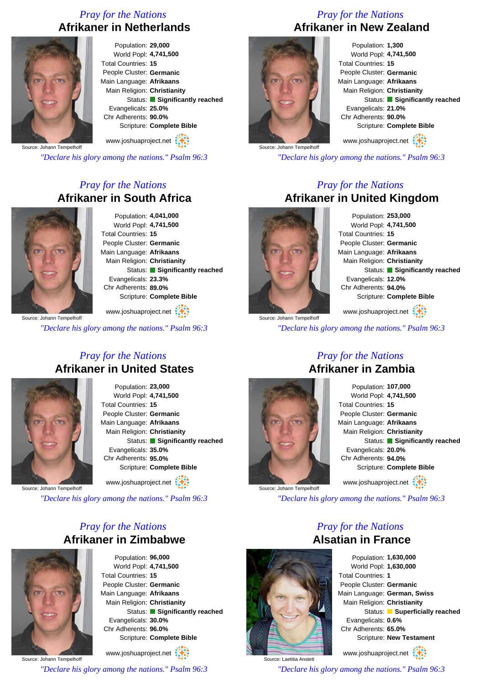#### *Pray for the Nations* **Afrikaner in Netherlands**



Population: **29,000** World Popl: **4,741,500** Total Countries: **15** People Cluster: **Germanic** Main Language: **Afrikaans** Main Religion: **Christianity** Status: **Significantly reached** Evangelicals: **25.0%** Chr Adherents: **90.0%** Scripture: **Complete Bible**

www.joshuaproject.net

Source: Johann Tempelhoff

*"Declare his glory among the nations." Psalm 96:3*

#### *Pray for the Nations* **Afrikaner in South Africa**



Population: **4,041,000** World Popl: **4,741,500** Total Countries: **15** People Cluster: **Germanic** Main Language: **Afrikaans** Main Religion: **Christianity** Status: **Significantly reached** Evangelicals: **23.3%** Chr Adherents: **89.0%** Scripture: **Complete Bible** www.joshuaproject.net

Source: Johann Tempelhoff

*"Declare his glory among the nations." Psalm 96:3*

#### *Pray for the Nations* **Afrikaner in United States**



Population: **23,000** World Popl: **4,741,500** Total Countries: **15** People Cluster: **Germanic** Main Language: **Afrikaans** Main Religion: **Christianity** Status: **Significantly reached** Evangelicals: **35.0%** Chr Adherents: **95.0%** Scripture: **Complete Bible** www.joshuaproject.net

Source: Johann Tempelhoff

*"Declare his glory among the nations." Psalm 96:3*

#### *Pray for the Nations* **Afrikaner in Zimbabwe**

Population: **96,000** World Popl: **4,741,500** Total Countries: **15** People Cluster: **Germanic** Main Language: **Afrikaans** Main Religion: **Christianity** Status: **Significantly reached** Evangelicals: **30.0%** Chr Adherents: **96.0%** Scripture: **Complete Bible**

Source: Johann Tempelhoff www.joshuaproject.net

*"Declare his glory among the nations." Psalm 96:3*

#### *Pray for the Nations* **Afrikaner in New Zealand**



Population: **1,300** World Popl: **4,741,500** Total Countries: **15** People Cluster: **Germanic** Main Language: **Afrikaans** Main Religion: **Christianity** Status: **Significantly reached** Evangelicals: **21.0%** Chr Adherents: **90.0%** Scripture: **Complete Bible** www.joshuaproject.net

*"Declare his glory among the nations." Psalm 96:3*

#### *Pray for the Nations* **Afrikaner in United Kingdom**



Source: Johann Tempelhoff

Population: **253,000** World Popl: **4,741,500** Total Countries: **15** People Cluster: **Germanic** Main Language: **Afrikaans** Main Religion: **Christianity** Status: **Significantly reached** Evangelicals: **12.0%** Chr Adherents: **94.0%** Scripture: **Complete Bible**

www.joshuaproject.net

*"Declare his glory among the nations." Psalm 96:3*



Source: Johann Tempelhoff

Source: Laetitia Anstett

#### *Pray for the Nations* **Afrikaner in Zambia**

Population: **107,000** World Popl: **4,741,500** Total Countries: **15** People Cluster: **Germanic** Main Language: **Afrikaans** Main Religion: **Christianity** Status: **Significantly reached** Evangelicals: **20.0%** Chr Adherents: **94.0%** Scripture: **Complete Bible** www.joshuaproject.net

*"Declare his glory among the nations." Psalm 96:3*

*Pray for the Nations*

**Alsatian in France** Population: **1,630,000**

World Popl: **1,630,000** Total Countries: **1** People Cluster: **Germanic** Main Language: **German, Swiss** Main Religion: **Christianity** Status: **Superficially reached** Evangelicals: **0.6%** Chr Adherents: **65.0%** Scripture: **New Testament**

www.joshuaproject.net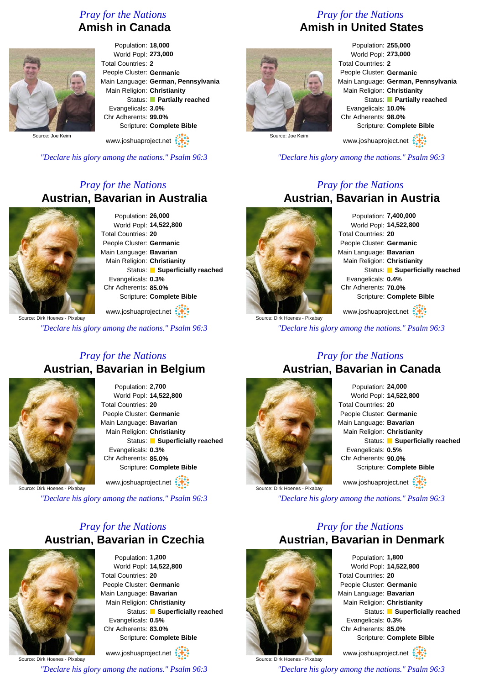#### *Pray for the Nations* **Amish in Canada**



Population: **18,000** World Popl: **273,000** Total Countries: **2** People Cluster: **Germanic** Main Language: **German, Pennsylvania** Main Religion: **Christianity** Status: **Partially reached** Evangelicals: **3.0%** Chr Adherents: **99.0%** Scripture: **Complete Bible**

www.joshuaproject.net

*"Declare his glory among the nations." Psalm 96:3*

#### *Pray for the Nations* **Austrian, Bavarian in Australia**



Population: **26,000** World Popl: **14,522,800** Total Countries: **20** People Cluster: **Germanic** Main Language: **Bavarian** Main Religion: **Christianity** Status: **Superficially reached** Evangelicals: **0.3%** Chr Adherents: **85.0%** Scripture: **Complete Bible**

www.joshuaproject.net

*"Declare his glory among the nations." Psalm 96:3*

#### *Pray for the Nations* **Austrian, Bavarian in Belgium**



Population: **2,700** World Popl: **14,522,800** Total Countries: **20** People Cluster: **Germanic** Main Language: **Bavarian** Main Religion: **Christianity** Status: **Superficially reached** Evangelicals: **0.3%** Chr Adherents: **85.0%** Scripture: **Complete Bible** www.joshuaproject.net

Source: Dirk Hoenes - Pixabay

*"Declare his glory among the nations." Psalm 96:3*

#### *Pray for the Nations* **Austrian, Bavarian in Czechia**



Population: **1,200** World Popl: **14,522,800** Total Countries: **20** People Cluster: **Germanic** Main Language: **Bavarian** Main Religion: **Christianity** Status: **Superficially reached** Evangelicals: **0.5%** Chr Adherents: **83.0%** Scripture: **Complete Bible**

Source: Dirk Hoenes - Pixabay www.joshuaproject.net

*"Declare his glory among the nations." Psalm 96:3*

#### *Pray for the Nations* **Amish in United States**



Population: **255,000** World Popl: **273,000** Total Countries: **2** People Cluster: **Germanic** Main Language: **German, Pennsylvania** Main Religion: **Christianity** Status: **Partially reached** Evangelicals: **10.0%** Chr Adherents: **98.0%** Scripture: **Complete Bible** www.joshuaproject.net

*"Declare his glory among the nations." Psalm 96:3*

#### *Pray for the Nations* **Austrian, Bavarian in Austria**



Population: **7,400,000** World Popl: **14,522,800** Total Countries: **20** People Cluster: **Germanic** Main Language: **Bavarian** Main Religion: **Christianity** Status: **Superficially reached** Evangelicals: **0.4%** Chr Adherents: **70.0%** Scripture: **Complete Bible** www.joshuaproject.net

Source: Dirk Hoenes - Pixabay

*"Declare his glory among the nations." Psalm 96:3*

#### *Pray for the Nations* **Austrian, Bavarian in Canada**



Population: **24,000** World Popl: **14,522,800** Total Countries: **20** People Cluster: **Germanic** Main Language: **Bavarian** Main Religion: **Christianity** Status: **Superficially reached** Evangelicals: **0.5%** Chr Adherents: **90.0%** Scripture: **Complete Bible** www.joshuaproject.net :

*"Declare his glory among the nations." Psalm 96:3*

#### *Pray for the Nations* **Austrian, Bavarian in Denmark**



Source: Dirk Hoenes - Pixabay

Population: **1,800** World Popl: **14,522,800** Total Countries: **20** People Cluster: **Germanic** Main Language: **Bavarian** Main Religion: **Christianity** Status: **Superficially reached** Evangelicals: **0.3%** Chr Adherents: **85.0%** Scripture: **Complete Bible** www.joshuaproject.net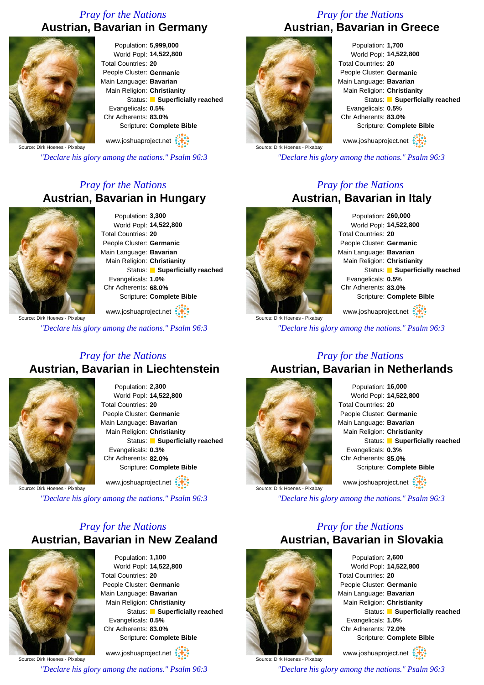#### *Pray for the Nations* **Austrian, Bavarian in Germany**



Population: **5,999,000** World Popl: **14,522,800** Total Countries: **20** People Cluster: **Germanic** Main Language: **Bavarian** Main Religion: **Christianity** Status: **Superficially reached** Evangelicals: **0.5%** Chr Adherents: **83.0%** Scripture: **Complete Bible**

www.joshuaproject.net

Source: Dirk Hoenes - Pixabay

*"Declare his glory among the nations." Psalm 96:3*

#### *Pray for the Nations* **Austrian, Bavarian in Hungary**



Population: **3,300** World Popl: **14,522,800** Total Countries: **20** People Cluster: **Germanic** Main Language: **Bavarian** Main Religion: **Christianity** Status: **Superficially reached** Evangelicals: **1.0%** Chr Adherents: **68.0%** Scripture: **Complete Bible**

www.joshuaproject.net

*"Declare his glory among the nations." Psalm 96:3*

#### *Pray for the Nations* **Austrian, Bavarian in Liechtenstein**



Population: **2,300** World Popl: **14,522,800** Total Countries: **20** People Cluster: **Germanic** Main Language: **Bavarian** Main Religion: **Christianity** Status: **Superficially reached** Evangelicals: **0.3%** Chr Adherents: **82.0%** Scripture: **Complete Bible** www.joshuaproject.net

Source: Dirk Hoenes - Pixabay

*"Declare his glory among the nations." Psalm 96:3*

### *Pray for the Nations* **Austrian, Bavarian in New Zealand**



Population: **1,100** World Popl: **14,522,800** Total Countries: **20** People Cluster: **Germanic** Main Language: **Bavarian** Main Religion: **Christianity** Status: **Superficially reached** Evangelicals: **0.5%** Chr Adherents: **83.0%** Scripture: **Complete Bible**

Source: Dirk Hoenes - Pixabay www.joshuaproject.net *"Declare his glory among the nations." Psalm 96:3*

#### *Pray for the Nations* **Austrian, Bavarian in Greece**



Population: **1,700** World Popl: **14,522,800** Total Countries: **20** People Cluster: **Germanic** Main Language: **Bavarian** Main Religion: **Christianity** Status: **Superficially reached** Evangelicals: **0.5%** Chr Adherents: **83.0%** Scripture: **Complete Bible** www.joshuaproject.net

Source: Dirk Hoenes - Pixabay

*"Declare his glory among the nations." Psalm 96:3*

#### *Pray for the Nations* **Austrian, Bavarian in Italy**



Population: **260,000** World Popl: **14,522,800** Total Countries: **20** People Cluster: **Germanic** Main Language: **Bavarian** Main Religion: **Christianity** Status: **Superficially reached** Evangelicals: **0.5%** Chr Adherents: **83.0%** Scripture: **Complete Bible** www.joshuaproject.net

*"Declare his glory among the nations." Psalm 96:3*

# **Austrian, Bavarian in Netherlands**



Population: **16,000** World Popl: **14,522,800** Total Countries: **20** People Cluster: **Germanic** Main Language: **Bavarian** Main Religion: **Christianity** Status: **Superficially reached** Evangelicals: **0.3%** Chr Adherents: **85.0%** Scripture: **Complete Bible** www.joshuaproject.net

*"Declare his glory among the nations." Psalm 96:3*

#### *Pray for the Nations* **Austrian, Bavarian in Slovakia**



Source: Dirk Hoenes - Pixabay

Population: **2,600** World Popl: **14,522,800** Total Countries: **20** People Cluster: **Germanic** Main Language: **Bavarian** Main Religion: **Christianity** Status: **Superficially reached** Evangelicals: **1.0%** Chr Adherents: **72.0%** Scripture: **Complete Bible**

www.joshuaproject.net

*"Declare his glory among the nations." Psalm 96:3*

# *Pray for the Nations*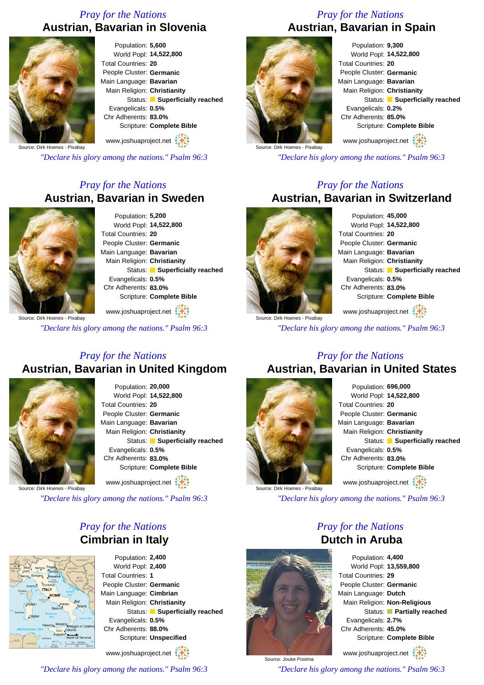#### *Pray for the Nations* **Austrian, Bavarian in Slovenia**



Population: **5,600** World Popl: **14,522,800** Total Countries: **20** People Cluster: **Germanic** Main Language: **Bavarian** Main Religion: **Christianity** Status: **Superficially reached** Evangelicals: **0.5%** Chr Adherents: **83.0%** Scripture: **Complete Bible**

www.joshuaproject.net

Source: Dirk Hoenes - Pixabay

*"Declare his glory among the nations." Psalm 96:3*

#### *Pray for the Nations* **Austrian, Bavarian in Sweden**



Population: **5,200** World Popl: **14,522,800** Total Countries: **20** People Cluster: **Germanic** Main Language: **Bavarian** Main Religion: **Christianity** Status: **Superficially reached** Evangelicals: **0.5%** Chr Adherents: **83.0%** Scripture: **Complete Bible**

Source: Dirk Hoenes - Pixabay

*"Declare his glory among the nations." Psalm 96:3*

www.joshuaproject.net

#### *Pray for the Nations* **Austrian, Bavarian in United Kingdom**



Population: **20,000** World Popl: **14,522,800** Total Countries: **20** People Cluster: **Germanic** Main Language: **Bavarian** Main Religion: **Christianity** Status: **Superficially reached** Evangelicals: **0.5%** Chr Adherents: **83.0%** Scripture: **Complete Bible** www.joshuaproject.net

Source: Dirk Hoenes - Pixabay

*"Declare his glory among the nations." Psalm 96:3*

#### *Pray for the Nations* **Cimbrian in Italy**



Population: **2,400** World Popl: **2,400** Total Countries: **1** People Cluster: **Germanic** Main Language: **Cimbrian** Main Religion: **Christianity** Status: **Superficially reached** Evangelicals: **0.5%** Chr Adherents: **88.0%** Scripture: **Unspecified** www.joshuaproject.net

*"Declare his glory among the nations." Psalm 96:3*

#### *Pray for the Nations* **Austrian, Bavarian in Spain**



Population: **9,300** World Popl: **14,522,800** Total Countries: **20** People Cluster: **Germanic** Main Language: **Bavarian** Main Religion: **Christianity** Status: **Superficially reached** Evangelicals: **0.2%** Chr Adherents: **85.0%** Scripture: **Complete Bible** www.joshuaproject.net

*"Declare his glory among the nations." Psalm 96:3*

#### *Pray for the Nations* **Austrian, Bavarian in Switzerland**



Population: **45,000** World Popl: **14,522,800** Total Countries: **20** People Cluster: **Germanic** Main Language: **Bavarian** Main Religion: **Christianity** Status: **Superficially reached** Evangelicals: **0.5%** Chr Adherents: **83.0%** Scripture: **Complete Bible** www.joshuaproject.net

Source: Dirk Hoenes - Pixabay

*"Declare his glory among the nations." Psalm 96:3*

#### *Pray for the Nations* **Austrian, Bavarian in United States**



Population: **696,000** World Popl: **14,522,800** Total Countries: **20** People Cluster: **Germanic** Main Language: **Bavarian** Main Religion: **Christianity** Status: **Superficially reached** Evangelicals: **0.5%** Chr Adherents: **83.0%** Scripture: **Complete Bible** www.joshuaproject.net

*"Declare his glory among the nations." Psalm 96:3*

*Pray for the Nations* **Dutch in Aruba**

Source: Jouke Postma

Population: **4,400** World Popl: **13,559,800** Total Countries: **29** People Cluster: **Germanic** Main Language: **Dutch** Main Religion: **Non-Religious** Status: **Partially reached** Evangelicals: **2.7%** Chr Adherents: **45.0%** Scripture: **Complete Bible**

www.joshuaproject.net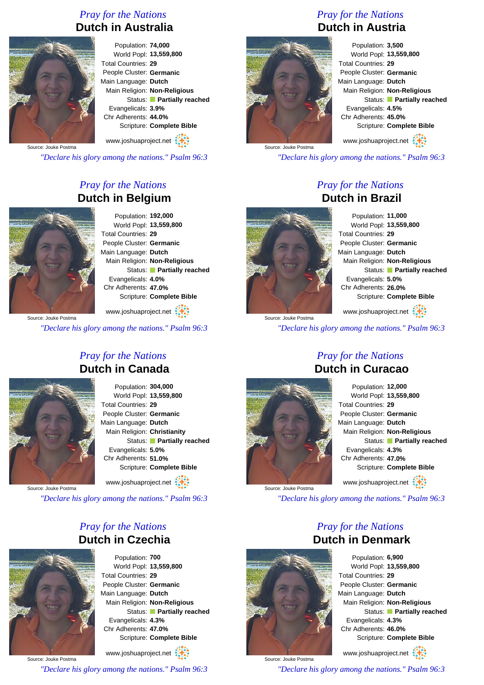#### *Pray for the Nations* **Dutch in Australia**



Population: **74,000** World Popl: **13,559,800** Total Countries: **29** People Cluster: **Germanic** Main Language: **Dutch** Main Religion: **Non-Religious** Status: **Partially reached** Evangelicals: **3.9%** Chr Adherents: **44.0%** Scripture: **Complete Bible**

www.joshuaproject.net

Source: Jouke Postma

*"Declare his glory among the nations." Psalm 96:3*

#### *Pray for the Nations* **Dutch in Belgium**



Population: **192,000** World Popl: **13,559,800** Total Countries: **29** People Cluster: **Germanic** Main Language: **Dutch** Main Religion: **Non-Religious** Status: **Partially reached** Evangelicals: **4.0%** Chr Adherents: **47.0%** Scripture: **Complete Bible**

www.joshuaproject.net

*"Declare his glory among the nations." Psalm 96:3*

## *Pray for the Nations* **Dutch in Canada**



Population: **304,000** World Popl: **13,559,800** Total Countries: **29** People Cluster: **Germanic** Main Language: **Dutch** Main Religion: **Christianity** Status: **Partially reached** Evangelicals: **5.0%** Chr Adherents: **51.0%** Scripture: **Complete Bible** www.joshuaproject.net

Source: Jouke Postma

*"Declare his glory among the nations." Psalm 96:3*

#### *Pray for the Nations* **Dutch in Czechia**



Population: **700** World Popl: **13,559,800** Total Countries: **29** People Cluster: **Germanic** Main Language: **Dutch** Main Religion: **Non-Religious** Status: **Partially reached** Evangelicals: **4.3%** Chr Adherents: **47.0%** Scripture: **Complete Bible**

Source: Jouke Postma www.joshuaproject.net

*"Declare his glory among the nations." Psalm 96:3*

#### *Pray for the Nations* **Dutch in Austria**



Population: **3,500** World Popl: **13,559,800** Total Countries: **29** People Cluster: **Germanic** Main Language: **Dutch** Main Religion: **Non-Religious** Status: **Partially reached** Evangelicals: **4.5%** Chr Adherents: **45.0%** Scripture: **Complete Bible**

www.joshuaproject.net

*"Declare his glory among the nations." Psalm 96:3*

#### *Pray for the Nations* **Dutch in Brazil**



Source: Jouke Postma

Population: **11,000** World Popl: **13,559,800** Total Countries: **29** People Cluster: **Germanic** Main Language: **Dutch** Main Religion: **Non-Religious** Status: **Partially reached** Evangelicals: **5.0%** Chr Adherents: **26.0%** Scripture: **Complete Bible**

www.joshuaproject.net

*"Declare his glory among the nations." Psalm 96:3*

## **Dutch in Curacao**



Population: **12,000** World Popl: **13,559,800** Total Countries: **29** People Cluster: **Germanic** Main Language: **Dutch** Main Religion: **Non-Religious** Status: **Partially reached** Evangelicals: **4.3%** Chr Adherents: **47.0%** Scripture: **Complete Bible** www.joshuaproject.net

*"Declare his glory among the nations." Psalm 96:3*

*Pray for the Nations*



Population: **6,900** World Popl: **13,559,800** Total Countries: **29** People Cluster: **Germanic** Main Language: **Dutch** Main Religion: **Non-Religious** Status: **Partially reached** Evangelicals: **4.3%** Chr Adherents: **46.0%** Scripture: **Complete Bible**

www.joshuaproject.net

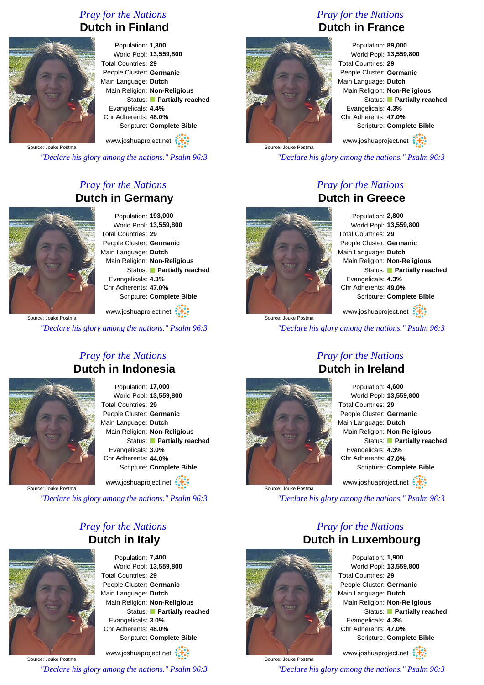#### *Pray for the Nations* **Dutch in Finland**



Population: **1,300** World Popl: **13,559,800** Total Countries: **29** People Cluster: **Germanic** Main Language: **Dutch** Main Religion: **Non-Religious** Status: **Partially reached** Evangelicals: **4.4%** Chr Adherents: **48.0%** Scripture: **Complete Bible**

www.joshuaproject.net

Source: Jouke Postma

*"Declare his glory among the nations." Psalm 96:3*

#### *Pray for the Nations* **Dutch in Germany**



Population: **193,000** World Popl: **13,559,800** Total Countries: **29** People Cluster: **Germanic** Main Language: **Dutch** Main Religion: **Non-Religious** Status: **Partially reached** Evangelicals: **4.3%** Chr Adherents: **47.0%** Scripture: **Complete Bible**

www.joshuaproject.net

*"Declare his glory among the nations." Psalm 96:3*

#### *Pray for the Nations* **Dutch in Indonesia**



Population: **17,000** World Popl: **13,559,800** Total Countries: **29** People Cluster: **Germanic** Main Language: **Dutch** Main Religion: **Non-Religious** Status: **Partially reached** Evangelicals: **3.0%** Chr Adherents: **44.0%** Scripture: **Complete Bible**

www.joshuaproject.net

Source: Jouke Postma

*"Declare his glory among the nations." Psalm 96:3*

#### *Pray for the Nations* **Dutch in Italy**



Population: **7,400** World Popl: **13,559,800** Total Countries: **29** People Cluster: **Germanic** Main Language: **Dutch** Main Religion: **Non-Religious** Status: **Partially reached** Evangelicals: **3.0%** Chr Adherents: **48.0%** Scripture: **Complete Bible**

Source: Jouke Postma www.joshuaproject.net

*"Declare his glory among the nations." Psalm 96:3*

#### *Pray for the Nations* **Dutch in France**



Population: **89,000** World Popl: **13,559,800** Total Countries: **29** People Cluster: **Germanic** Main Language: **Dutch** Main Religion: **Non-Religious** Status: **Partially reached** Evangelicals: **4.3%** Chr Adherents: **47.0%** Scripture: **Complete Bible** www.joshuaproject.net

*"Declare his glory among the nations." Psalm 96:3*

#### *Pray for the Nations* **Dutch in Greece**



Source: Jouke Postma

Population: **2,800** World Popl: **13,559,800** Total Countries: **29** People Cluster: **Germanic** Main Language: **Dutch** Main Religion: **Non-Religious** Status: **Partially reached** Evangelicals: **4.3%** Chr Adherents: **49.0%** Scripture: **Complete Bible**

www.joshuaproject.net

*"Declare his glory among the nations." Psalm 96:3*

#### *Pray for the Nations* **Dutch in Ireland**



Population: **4,600** World Popl: **13,559,800** Total Countries: **29** People Cluster: **Germanic** Main Language: **Dutch** Main Religion: **Non-Religious** Status: **Partially reached** Evangelicals: **4.3%** Chr Adherents: **47.0%** Scripture: **Complete Bible** www.joshuaproject.net

*"Declare his glory among the nations." Psalm 96:3*



Source: Jouke Postma

*Pray for the Nations* **Dutch in Luxembourg** Population: **1,900**

World Popl: **13,559,800** Total Countries: **29** People Cluster: **Germanic** Main Language: **Dutch** Main Religion: **Non-Religious** Status: **Partially reached** Evangelicals: **4.3%** Chr Adherents: **47.0%** Scripture: **Complete Bible**

www.joshuaproject.net

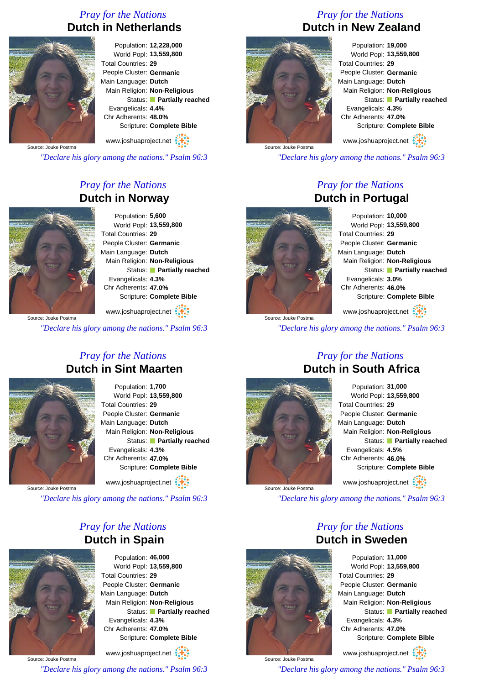#### *Pray for the Nations* **Dutch in Netherlands**



Population: **12,228,000** World Popl: **13,559,800** Total Countries: **29** People Cluster: **Germanic** Main Language: **Dutch** Main Religion: **Non-Religious** Status: **Partially reached** Evangelicals: **4.4%** Chr Adherents: **48.0%** Scripture: **Complete Bible**

www.joshuaproject.net

Source: Jouke Postma

*"Declare his glory among the nations." Psalm 96:3*

#### *Pray for the Nations* **Dutch in Norway**



Population: **5,600** World Popl: **13,559,800** Total Countries: **29** People Cluster: **Germanic** Main Language: **Dutch** Main Religion: **Non-Religious** Status: **Partially reached** Evangelicals: **4.3%** Chr Adherents: **47.0%** Scripture: **Complete Bible**

www.joshuaproject.net

*"Declare his glory among the nations." Psalm 96:3*

#### *Pray for the Nations* **Dutch in Sint Maarten**



Population: **1,700** World Popl: **13,559,800** Total Countries: **29** People Cluster: **Germanic** Main Language: **Dutch** Main Religion: **Non-Religious** Status: **Partially reached** Evangelicals: **4.3%** Chr Adherents: **47.0%** Scripture: **Complete Bible** www.joshuaproject.net

Source: Jouke Postma

*"Declare his glory among the nations." Psalm 96:3*

#### *Pray for the Nations* **Dutch in Spain**



Population: **46,000** World Popl: **13,559,800** Total Countries: **29** People Cluster: **Germanic** Main Language: **Dutch** Main Religion: **Non-Religious** Status: **Partially reached** Evangelicals: **4.3%** Chr Adherents: **47.0%** Scripture: **Complete Bible**

Source: Jouke Postma www.joshuaproject.net

*"Declare his glory among the nations." Psalm 96:3*

#### *Pray for the Nations* **Dutch in New Zealand**



Population: **19,000** World Popl: **13,559,800** Total Countries: **29** People Cluster: **Germanic** Main Language: **Dutch** Main Religion: **Non-Religious** Status: **Partially reached** Evangelicals: **4.3%** Chr Adherents: **47.0%** Scripture: **Complete Bible**

www.joshuaproject.net

*"Declare his glory among the nations." Psalm 96:3*

#### *Pray for the Nations* **Dutch in Portugal**



Population: **10,000** World Popl: **13,559,800** Total Countries: **29** People Cluster: **Germanic** Main Language: **Dutch** Main Religion: **Non-Religious** Status: **Partially reached** Evangelicals: **3.0%** Chr Adherents: **46.0%** Scripture: **Complete Bible** www.joshuaproject.net

Source: Jouke Postma *"Declare his glory among the nations." Psalm 96:3*

#### *Pray for the Nations* **Dutch in South Africa**



Population: **31,000** World Popl: **13,559,800** Total Countries: **29** People Cluster: **Germanic** Main Language: **Dutch** Main Religion: **Non-Religious** Status: **Partially reached** Evangelicals: **4.5%** Chr Adherents: **46.0%** Scripture: **Complete Bible** www.joshuaproject.net

*"Declare his glory among the nations." Psalm 96:3*

#### *Pray for the Nations* **Dutch in Sweden** Population: **11,000**

World Popl: **13,559,800** Total Countries: **29** People Cluster: **Germanic** Main Language: **Dutch** Main Religion: **Non-Religious** Status: **Partially reached** Evangelicals: **4.3%** Chr Adherents: **47.0%** Scripture: **Complete Bible**

www.joshuaproject.net

*"Declare his glory among the nations." Psalm 96:3*



Source: Jouke Postma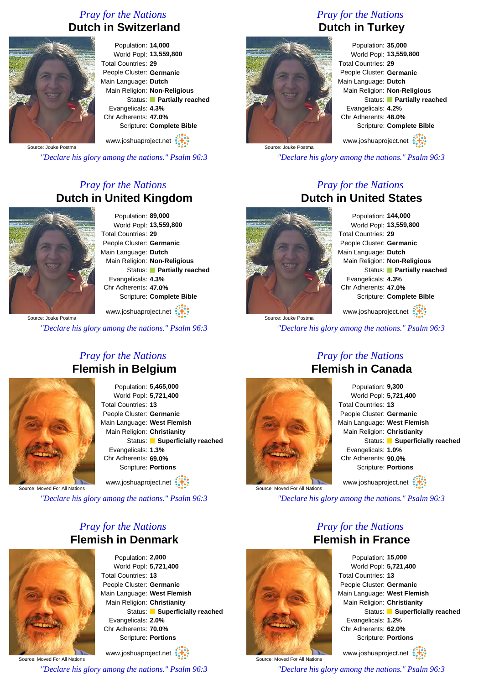#### *Pray for the Nations* **Dutch in Switzerland**



Population: **14,000** World Popl: **13,559,800** Total Countries: **29** People Cluster: **Germanic** Main Language: **Dutch** Main Religion: **Non-Religious** Status: **Partially reached** Evangelicals: **4.3%** Chr Adherents: **47.0%** Scripture: **Complete Bible**

www.joshuaproject.net

Source: Jouke Postma

*"Declare his glory among the nations." Psalm 96:3*

#### *Pray for the Nations* **Dutch in United Kingdom**



Population: **89,000** World Popl: **13,559,800** Total Countries: **29** People Cluster: **Germanic** Main Language: **Dutch** Main Religion: **Non-Religious** Status: **Partially reached** Evangelicals: **4.3%** Chr Adherents: **47.0%** Scripture: **Complete Bible**

www.joshuaproject.net

*"Declare his glory among the nations." Psalm 96:3*

#### *Pray for the Nations* **Flemish in Belgium**



Population: **5,465,000** World Popl: **5,721,400** Total Countries: **13** People Cluster: **Germanic** Main Language: **West Flemish** Main Religion: **Christianity** Status: **Superficially reached** Evangelicals: **1.3%** Chr Adherents: **69.0%** Scripture: **Portions**

www.joshuaproject.net

Source: Moved For All Nation

*"Declare his glory among the nations." Psalm 96:3*

#### *Pray for the Nations* **Flemish in Denmark**



Population: **2,000** World Popl: **5,721,400** Total Countries: **13** People Cluster: **Germanic** Main Language: **West Flemish** Main Religion: **Christianity** Status: **Superficially reached** Evangelicals: **2.0%** Chr Adherents: **70.0%** Scripture: **Portions** www.joshuaproject.net

Source: Moved For All Nations

*"Declare his glory among the nations." Psalm 96:3*

#### *Pray for the Nations* **Dutch in Turkey**



Population: **35,000** World Popl: **13,559,800** Total Countries: **29** People Cluster: **Germanic** Main Language: **Dutch** Main Religion: **Non-Religious** Status: **Partially reached** Evangelicals: **4.2%** Chr Adherents: **48.0%** Scripture: **Complete Bible** www.joshuaproject.net

*"Declare his glory among the nations." Psalm 96:3*

#### *Pray for the Nations* **Dutch in United States**



Source: Jouke Postma

Population: **144,000** World Popl: **13,559,800** Total Countries: **29** People Cluster: **Germanic** Main Language: **Dutch** Main Religion: **Non-Religious** Status: **Partially reached** Evangelicals: **4.3%** Chr Adherents: **47.0%** Scripture: **Complete Bible**

www.joshuaproject.net

*"Declare his glory among the nations." Psalm 96:3*



Source: Moved For All Nation

#### *Pray for the Nations* **Flemish in Canada**

Population: **9,300** World Popl: **5,721,400** Total Countries: **13** People Cluster: **Germanic** Main Language: **West Flemish** Main Religion: **Christianity** Status: **Superficially reached** Evangelicals: **1.0%** Chr Adherents: **90.0%** Scripture: **Portions** www.joshuaproject.net

*"Declare his glory among the nations." Psalm 96:3*

#### *Pray for the Nations* **Flemish in France**



Source: Moved For All Nations

Population: **15,000** World Popl: **5,721,400** Total Countries: **13** People Cluster: **Germanic** Main Language: **West Flemish** Main Religion: **Christianity** Status: **Superficially reached** Evangelicals: **1.2%** Chr Adherents: **62.0%** Scripture: **Portions**

www.joshuaproject.net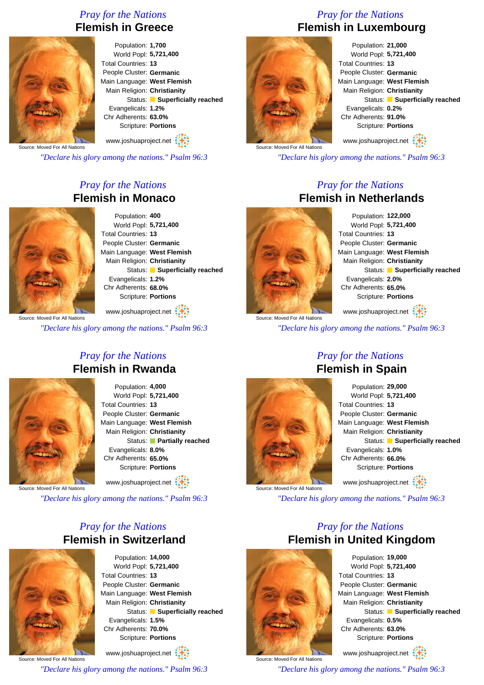#### *Pray for the Nations* **Flemish in Greece**



Population: **1,700** World Popl: **5,721,400** Total Countries: **13** People Cluster: **Germanic** Main Language: **West Flemish** Main Religion: **Christianity** Status: **Superficially reached** Evangelicals: **1.2%** Chr Adherents: **63.0%** Scripture: **Portions**

www.joshuaproject.net

Source: Moved For All Nations

*"Declare his glory among the nations." Psalm 96:3*

### *Pray for the Nations* **Flemish in Monaco**



Population: **400** World Popl: **5,721,400** Total Countries: **13** People Cluster: **Germanic** Main Language: **West Flemish** Main Religion: **Christianity** Status: **Superficially reached** Evangelicals: **1.2%** Chr Adherents: **68.0%** Scripture: **Portions**

Source: Moved For All Nations www.joshuaproject.net

*"Declare his glory among the nations." Psalm 96:3*

#### *Pray for the Nations* **Flemish in Rwanda**



Population: **4,000** World Popl: **5,721,400** Total Countries: **13** People Cluster: **Germanic** Main Language: **West Flemish** Main Religion: **Christianity** Status: **Partially reached** Evangelicals: **8.0%** Chr Adherents: **65.0%** Scripture: **Portions**

www.joshuaproject.net

Source: Moved For All Nation

*"Declare his glory among the nations." Psalm 96:3*

#### *Pray for the Nations* **Flemish in Switzerland**



Population: **14,000** World Popl: **5,721,400** Total Countries: **13** People Cluster: **Germanic** Main Language: **West Flemish** Main Religion: **Christianity** Status: **Superficially reached** Evangelicals: **1.5%** Chr Adherents: **70.0%** Scripture: **Portions** www.joshuaproject.net

Source: Moved For All Nations

*"Declare his glory among the nations." Psalm 96:3*

#### *Pray for the Nations* **Flemish in Luxembourg**



Population: **21,000** World Popl: **5,721,400** Total Countries: **13** People Cluster: **Germanic** Main Language: **West Flemish** Main Religion: **Christianity** Status: **Superficially reached** Evangelicals: **0.2%** Chr Adherents: **91.0%** Scripture: **Portions** www.joshuaproject.net

Source: Moved For All Nations

*"Declare his glory among the nations." Psalm 96:3*

#### *Pray for the Nations* **Flemish in Netherlands**



Population: **122,000** World Popl: **5,721,400** Total Countries: **13** People Cluster: **Germanic** Main Language: **West Flemish** Main Religion: **Christianity** Status: **Superficially reached** Evangelicals: **2.0%** Chr Adherents: **65.0%** Scripture: **Portions** www.joshuaproject.net

Source: Moved For All Nations *"Declare his glory among the nations." Psalm 96:3*



#### *Pray for the Nations* **Flemish in Spain**

Population: **29,000** World Popl: **5,721,400** Total Countries: **13** People Cluster: **Germanic** Main Language: **West Flemish** Main Religion: **Christianity** Status: **Superficially reached** Evangelicals: **1.0%** Chr Adherents: **66.0%** Scripture: **Portions** www.joshuaproject.net

*"Declare his glory among the nations." Psalm 96:3*

#### *Pray for the Nations* **Flemish in United Kingdom**



Source: Moved For All Nations

Population: **19,000** World Popl: **5,721,400** Total Countries: **13** People Cluster: **Germanic** Main Language: **West Flemish** Main Religion: **Christianity** Status: **Superficially reached** Evangelicals: **0.5%** Chr Adherents: **63.0%** Scripture: **Portions**

www.joshuaproject.net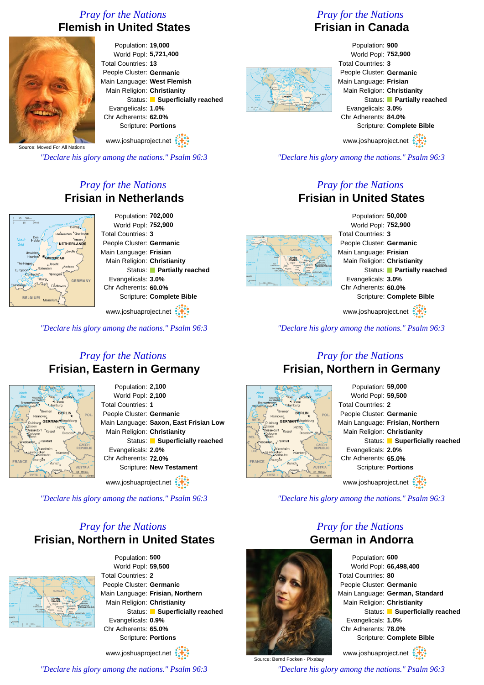#### *Pray for the Nations* **Flemish in United States**



Population: **19,000** World Popl: **5,721,400** Total Countries: **13** People Cluster: **Germanic** Main Language: **West Flemish** Main Religion: **Christianity** Status: **Superficially reached** Evangelicals: **1.0%** Chr Adherents: **62.0%** Scripture: **Portions**

www.joshuaproject.net

Source: Moved For All Nations

*"Declare his glory among the nations." Psalm 96:3*

#### *Pray for the Nations* **Frisian in Netherlands**



Population: **702,000** World Popl: **752,900** Total Countries: **3** People Cluster: **Germanic** Main Language: **Frisian** Main Religion: **Christianity** Status: **Partially reached** Evangelicals: **3.0%** Chr Adherents: **60.0%** Scripture: **Complete Bible**

www.joshuaproject.net

*"Declare his glory among the nations." Psalm 96:3*

#### *Pray for the Nations* **Frisian, Eastern in Germany**



Population: **2,100** World Popl: **2,100** Total Countries: **1** People Cluster: **Germanic** Main Language: **Saxon, East Frisian Low** Main Religion: **Christianity** Status: **Superficially reached** Evangelicals: **2.0%** Chr Adherents: **72.0%** Scripture: **New Testament**

www.joshuaproject.net

*"Declare his glory among the nations." Psalm 96:3*

#### *Pray for the Nations* **Frisian, Northern in United States**



Population: **500** World Popl: **59,500** Total Countries: **2** People Cluster: **Germanic** Main Language: **Frisian, Northern** Main Religion: **Christianity** Status: **Superficially reached** Evangelicals: **0.9%** Chr Adherents: **65.0%** Scripture: **Portions**

www.joshuaproject.net

*"Declare his glory among the nations." Psalm 96:3*

#### *Pray for the Nations* **Frisian in Canada**

#### Population: **900** World Popl: **752,900** Total Countries: **3** People Cluster: **Germanic** Main Language: **Frisian** Main Religion: **Christianity** Status: **Partially reached** Evangelicals: **3.0%** Chr Adherents: **84.0%** Scripture: **Complete Bible** www.joshuaproject.net

*"Declare his glory among the nations." Psalm 96:3*

#### *Pray for the Nations* **Frisian in United States**



Population: **50,000** World Popl: **752,900** Total Countries: **3** People Cluster: **Germanic** Main Language: **Frisian** Main Religion: **Christianity** Status: **Partially reached** Evangelicals: **3.0%** Chr Adherents: **60.0%** Scripture: **Complete Bible**

www.joshuaproject.net

*"Declare his glory among the nations." Psalm 96:3*

#### *Pray for the Nations* **Frisian, Northern in Germany**



Source: Bernd Focken - Pixabay



*"Declare his glory among the nations." Psalm 96:3*

#### *Pray for the Nations* **German in Andorra**



www.joshuaproject.net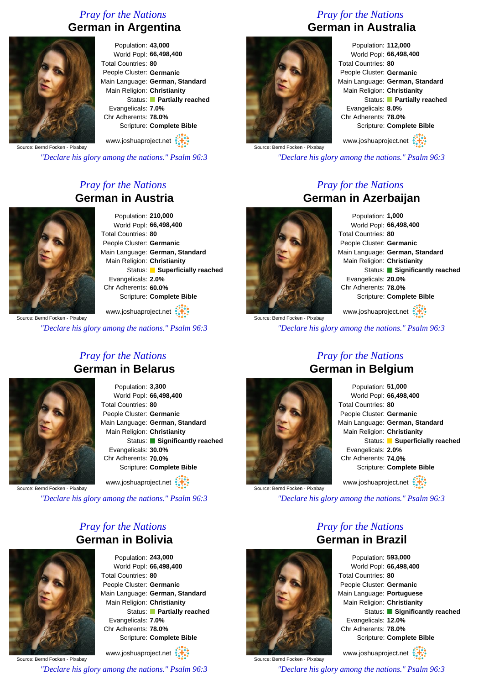#### *Pray for the Nations* **German in Argentina**



Population: **43,000** World Popl: **66,498,400** Total Countries: **80** People Cluster: **Germanic** Main Language: **German, Standard** Main Religion: **Christianity** Status: **Partially reached** Evangelicals: **7.0%** Chr Adherents: **78.0%** Scripture: **Complete Bible**

Source: Bernd Focken - Pixabay www.joshuaproject.net

*"Declare his glory among the nations." Psalm 96:3*

#### *Pray for the Nations* **German in Austria**



Population: **210,000** World Popl: **66,498,400** Total Countries: **80** People Cluster: **Germanic** Main Language: **German, Standard** Main Religion: **Christianity** Status: **Superficially reached** Evangelicals: **2.0%** Chr Adherents: **60.0%** Scripture: **Complete Bible**

www.joshuaproject.net

*"Declare his glory among the nations." Psalm 96:3*

## *Pray for the Nations* **German in Belarus**



Population: **3,300** World Popl: **66,498,400** Total Countries: **80** People Cluster: **Germanic** Main Language: **German, Standard** Main Religion: **Christianity** Status: **Significantly reached** Evangelicals: **30.0%** Chr Adherents: **70.0%** Scripture: **Complete Bible** www.joshuaproject.net :

Source: Bernd Focken - Pixabay

*"Declare his glory among the nations." Psalm 96:3*

#### *Pray for the Nations* **German in Bolivia**



Population: **243,000** World Popl: **66,498,400** Total Countries: **80** People Cluster: **Germanic** Main Language: **German, Standard** Main Religion: **Christianity** Status: **Partially reached** Evangelicals: **7.0%** Chr Adherents: **78.0%** Scripture: **Complete Bible**

Source: Bernd Focken - Pixabay www.joshuaproject.net *"Declare his glory among the nations." Psalm 96:3*

#### *Pray for the Nations* **German in Australia**



Population: **112,000** World Popl: **66,498,400** Total Countries: **80** People Cluster: **Germanic** Main Language: **German, Standard** Main Religion: **Christianity** Status: **Partially reached** Evangelicals: **8.0%** Chr Adherents: **78.0%** Scripture: **Complete Bible** www.joshuaproject.net

Source: Bernd Focken - Pixabay

*"Declare his glory among the nations." Psalm 96:3*

#### *Pray for the Nations* **German in Azerbaijan**



Source: Bernd Focken - Pixabay

Population: **1,000** World Popl: **66,498,400** Total Countries: **80** People Cluster: **Germanic** Main Language: **German, Standard** Main Religion: **Christianity** Status: **Significantly reached** Evangelicals: **20.0%** Chr Adherents: **78.0%** Scripture: **Complete Bible**

www.joshuaproject.net

*"Declare his glory among the nations." Psalm 96:3*



Source: Bernd Focken - Pixabay

#### *Pray for the Nations* **German in Belgium**

| Population: 51,000          |                                 |
|-----------------------------|---------------------------------|
| World Popl: 66,498,400      |                                 |
| Total Countries: 80         |                                 |
| People Cluster: Germanic    |                                 |
|                             | Main Language: German, Standard |
| Main Religion: Christianity |                                 |
|                             | Status: Superficially reached   |
| Evangelicals: 2.0%          |                                 |
| Chr Adherents: 74.0%        |                                 |
|                             | Scripture: Complete Bible       |
| www.joshuaproject.net       |                                 |

*"Declare his glory among the nations." Psalm 96:3*

#### *Pray for the Nations* **German in Brazil**



Source: Bernd Focken - Pixabay *"Declare his glory among the nations." Psalm 96:3*



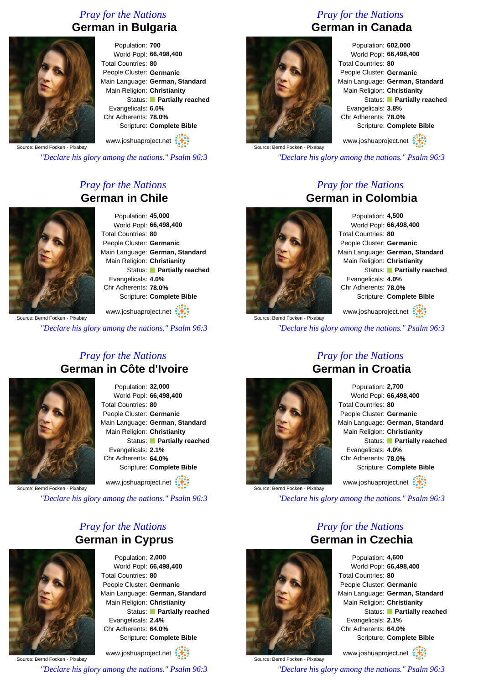#### *Pray for the Nations* **German in Bulgaria**



Population: **700** World Popl: **66,498,400** Total Countries: **80** People Cluster: **Germanic** Main Language: **German, Standard** Main Religion: **Christianity** Status: **Partially reached** Evangelicals: **6.0%** Chr Adherents: **78.0%** Scripture: **Complete Bible**

Source: Bernd Focken - Pixabay www.joshuaproject.net

*"Declare his glory among the nations." Psalm 96:3*

#### *Pray for the Nations* **German in Chile**



Population: **45,000** World Popl: **66,498,400** Total Countries: **80** People Cluster: **Germanic** Main Language: **German, Standard** Main Religion: **Christianity** Status: **Partially reached** Evangelicals: **4.0%** Chr Adherents: **78.0%** Scripture: **Complete Bible**

www.joshuaproject.net

*"Declare his glory among the nations." Psalm 96:3*

#### *Pray for the Nations* **German in Côte d'Ivoire**



Population: **32,000** World Popl: **66,498,400** Total Countries: **80** People Cluster: **Germanic** Main Language: **German, Standard** Main Religion: **Christianity** Status: **Partially reached** Evangelicals: **2.1%** Chr Adherents: **64.0%** Scripture: **Complete Bible** www.joshuaproject.net

Source: Bernd Focken - Pixabay

*"Declare his glory among the nations." Psalm 96:3*

#### *Pray for the Nations* **German in Cyprus**



Population: **2,000** World Popl: **66,498,400** Total Countries: **80** People Cluster: **Germanic** Main Language: **German, Standard** Main Religion: **Christianity** Status: **Partially reached** Evangelicals: **2.4%** Chr Adherents: **64.0%** Scripture: **Complete Bible**

Source: Bernd Focken - Pixabay www.joshuaproject.net *"Declare his glory among the nations." Psalm 96:3*

#### *Pray for the Nations* **German in Canada**



Population: **602,000** World Popl: **66,498,400** Total Countries: **80** People Cluster: **Germanic** Main Language: **German, Standard** Main Religion: **Christianity** Status: **Partially reached** Evangelicals: **3.8%** Chr Adherents: **78.0%** Scripture: **Complete Bible** www.joshuaproject.net

Source: Bernd Focken - Pixabay

*"Declare his glory among the nations." Psalm 96:3*

#### *Pray for the Nations* **German in Colombia**



Source: Bernd Focken - Pixabay

Population: **4,500** World Popl: **66,498,400** Total Countries: **80** People Cluster: **Germanic** Main Language: **German, Standard** Main Religion: **Christianity** Status: **Partially reached** Evangelicals: **4.0%** Chr Adherents: **78.0%** Scripture: **Complete Bible**

www.joshuaproject.net

*"Declare his glory among the nations." Psalm 96:3*



Source: Bernd Focken - Pixabay

#### *Pray for the Nations* **German in Croatia**

Population: **2,700** World Popl: **66,498,400** Total Countries: **80** People Cluster: **Germanic** Main Language: **German, Standard** Main Religion: **Christianity** Status: **Partially reached** Evangelicals: **4.0%** Chr Adherents: **78.0%** Scripture: **Complete Bible** www.joshuaproject.net

*"Declare his glory among the nations." Psalm 96:3*

*Pray for the Nations*



Population: **4,600** World Popl: **66,498,400** Total Countries: **80** People Cluster: **Germanic** Main Language: **German, Standard** Main Religion: **Christianity** Status: **Partially reached** Evangelicals: **2.1%** Chr Adherents: **64.0%** Scripture: **Complete Bible**

www.joshuaproject.net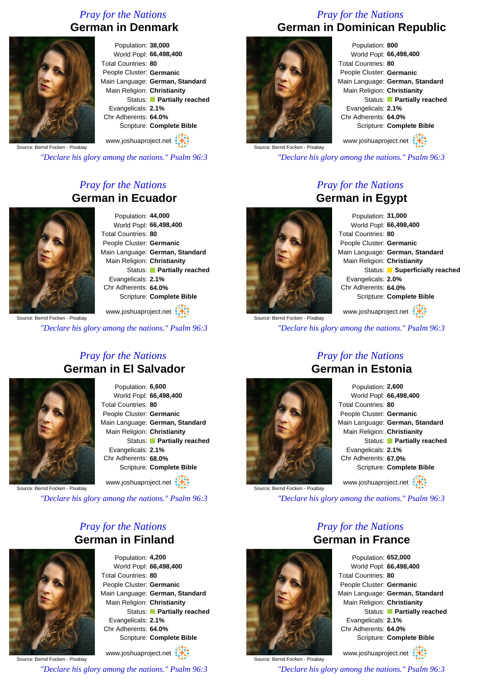#### *Pray for the Nations* **German in Denmark**



Population: **38,000** World Popl: **66,498,400** Total Countries: **80** People Cluster: **Germanic** Main Language: **German, Standard** Main Religion: **Christianity** Status: **Partially reached** Evangelicals: **2.1%** Chr Adherents: **64.0%** Scripture: **Complete Bible**

www.joshuaproject.net

Source: Bernd Focken - Pixabay

*"Declare his glory among the nations." Psalm 96:3*

#### *Pray for the Nations* **German in Ecuador**



Population: **44,000** World Popl: **66,498,400** Total Countries: **80** People Cluster: **Germanic** Main Language: **German, Standard** Main Religion: **Christianity** Status: **Partially reached** Evangelicals: **2.1%** Chr Adherents: **64.0%** Scripture: **Complete Bible**

www.joshuaproject.net

*"Declare his glory among the nations." Psalm 96:3*

#### *Pray for the Nations* **German in El Salvador**



Population: **6,600** World Popl: **66,498,400** Total Countries: **80** People Cluster: **Germanic** Main Language: **German, Standard** Main Religion: **Christianity** Status: **Partially reached** Evangelicals: **2.1%** Chr Adherents: **68.0%** Scripture: **Complete Bible**

www.joshuaproject.net :

Source: Bernd Focken - Pixabay

*"Declare his glory among the nations." Psalm 96:3*

#### *Pray for the Nations* **German in Finland**



Population: **4,200** World Popl: **66,498,400** Total Countries: **80** People Cluster: **Germanic** Main Language: **German, Standard** Main Religion: **Christianity** Status: **Partially reached** Evangelicals: **2.1%** Chr Adherents: **64.0%** Scripture: **Complete Bible**

Source: Bernd Focken - Pixabay www.joshuaproject.net *"Declare his glory among the nations." Psalm 96:3*

#### *Pray for the Nations* **German in Dominican Republic**



Population: **800** World Popl: **66,498,400** Total Countries: **80** People Cluster: **Germanic** Main Language: **German, Standard** Main Religion: **Christianity** Status: **Partially reached** Evangelicals: **2.1%** Chr Adherents: **64.0%** Scripture: **Complete Bible** www.joshuaproject.net

Source: Bernd Focken - Pixabay

*"Declare his glory among the nations." Psalm 96:3*

#### *Pray for the Nations* **German in Egypt**



Source: Bernd Focken - Pixabay

Population: **31,000** World Popl: **66,498,400** Total Countries: **80** People Cluster: **Germanic** Main Language: **German, Standard** Main Religion: **Christianity** Status: **Superficially reached** Evangelicals: **2.0%** Chr Adherents: **64.0%** Scripture: **Complete Bible**

www.joshuaproject.net

*"Declare his glory among the nations." Psalm 96:3*



Source: Bernd Focken - Pixabay

# **German in Estonia**

Population: **2,600** World Popl: **66,498,400** Total Countries: **80** People Cluster: **Germanic** Main Language: **German, Standard** Main Religion: **Christianity** Status: **Partially reached** Evangelicals: **2.1%** Chr Adherents: **67.0%** Scripture: **Complete Bible** www.joshuaproject.net

*"Declare his glory among the nations." Psalm 96:3*

Source: Bernd Focken - Pixabay

*Pray for the Nations* **German in France**

> Population: **652,000** World Popl: **66,498,400** Total Countries: **80** People Cluster: **Germanic** Main Language: **German, Standard** Main Religion: **Christianity** Status: **Partially reached** Evangelicals: **2.1%** Chr Adherents: **64.0%** Scripture: **Complete Bible**

www.joshuaproject.net

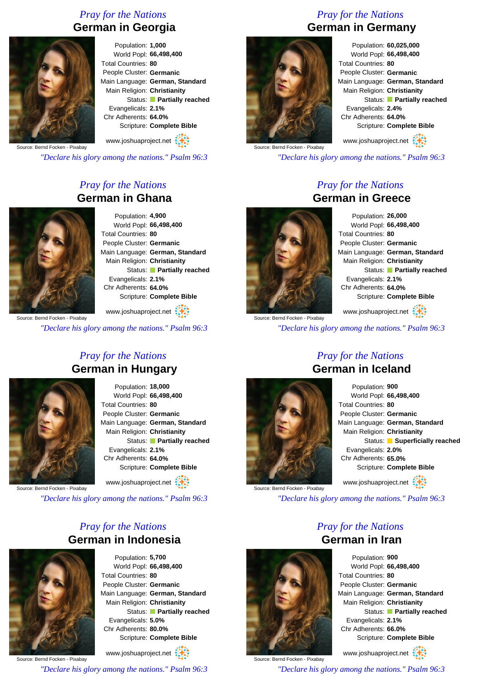#### *Pray for the Nations* **German in Georgia**



Population: **1,000** World Popl: **66,498,400** Total Countries: **80** People Cluster: **Germanic** Main Language: **German, Standard** Main Religion: **Christianity** Status: **Partially reached** Evangelicals: **2.1%** Chr Adherents: **64.0%** Scripture: **Complete Bible**

Source: Bernd Focken - Pixabay www.joshuaproject.net

*"Declare his glory among the nations." Psalm 96:3*

#### *Pray for the Nations* **German in Ghana**



Population: **4,900** World Popl: **66,498,400** Total Countries: **80** People Cluster: **Germanic** Main Language: **German, Standard** Main Religion: **Christianity** Status: **Partially reached** Evangelicals: **2.1%** Chr Adherents: **64.0%** Scripture: **Complete Bible**

www.joshuaproject.net

*"Declare his glory among the nations." Psalm 96:3*

#### *Pray for the Nations* **German in Hungary**



Population: **18,000** World Popl: **66,498,400** Total Countries: **80** People Cluster: **Germanic** Main Language: **German, Standard** Main Religion: **Christianity** Status: **Partially reached** Evangelicals: **2.1%** Chr Adherents: **64.0%** Scripture: **Complete Bible**

www.joshuaproject.net

Source: Bernd Focken - Pixabay

*"Declare his glory among the nations." Psalm 96:3*

#### *Pray for the Nations* **German in Indonesia**



Population: **5,700** World Popl: **66,498,400** Total Countries: **80** People Cluster: **Germanic** Main Language: **German, Standard** Main Religion: **Christianity** Status: **Partially reached** Evangelicals: **5.0%** Chr Adherents: **80.0%** Scripture: **Complete Bible**

Source: Bernd Focken - Pixabay www.joshuaproject.net *"Declare his glory among the nations." Psalm 96:3*

#### *Pray for the Nations* **German in Germany**



Population: **60,025,000** World Popl: **66,498,400** Total Countries: **80** People Cluster: **Germanic** Main Language: **German, Standard** Main Religion: **Christianity** Status: **Partially reached** Evangelicals: **2.4%** Chr Adherents: **64.0%** Scripture: **Complete Bible** www.joshuaproject.net

Source: Bernd Focken - Pixabay

*"Declare his glory among the nations." Psalm 96:3*

#### *Pray for the Nations* **German in Greece**



Source: Bernd Focken - Pixabay

Population: **26,000** World Popl: **66,498,400** Total Countries: **80** People Cluster: **Germanic** Main Language: **German, Standard** Main Religion: **Christianity** Status: **Partially reached** Evangelicals: **2.1%** Chr Adherents: **64.0%** Scripture: **Complete Bible**

www.joshuaproject.net

*"Declare his glory among the nations." Psalm 96:3*



Source: Bernd Focken - Pixabay

#### *Pray for the Nations* **German in Iceland**

Population: **900** World Popl: **66,498,400** Total Countries: **80** People Cluster: **Germanic** Main Language: **German, Standard** Main Religion: **Christianity** Status: **Superficially reached** Evangelicals: **2.0%** Chr Adherents: **65.0%** Scripture: **Complete Bible** www.joshuaproject.net

*"Declare his glory among the nations." Psalm 96:3*

#### *Pray for the Nations* **German in Iran**



Population: **900** World Popl: **66,498,400** Total Countries: **80** People Cluster: **Germanic** Main Language: **German, Standard** Main Religion: **Christianity** Status: **Partially reached** Evangelicals: **2.1%** Chr Adherents: **66.0%** Scripture: **Complete Bible**

www.joshuaproject.net

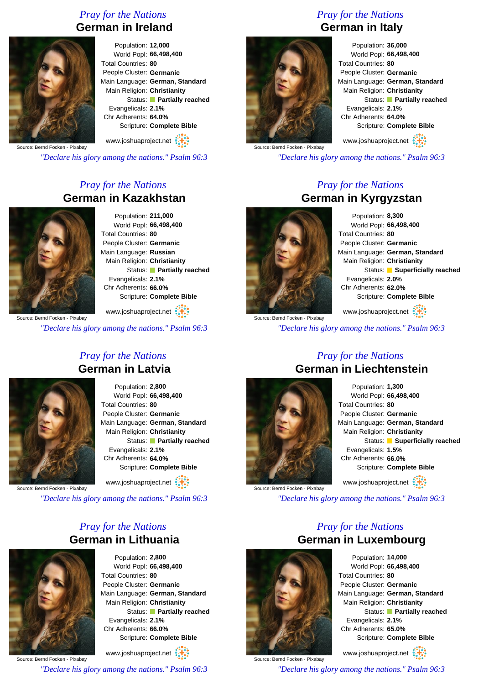#### *Pray for the Nations* **German in Ireland**



Population: **12,000** World Popl: **66,498,400** Total Countries: **80** People Cluster: **Germanic** Main Language: **German, Standard** Main Religion: **Christianity** Status: **Partially reached** Evangelicals: **2.1%** Chr Adherents: **64.0%** Scripture: **Complete Bible**

www.joshuaproject.net

Source: Bernd Focken - Pixabay

*"Declare his glory among the nations." Psalm 96:3*

#### *Pray for the Nations* **German in Kazakhstan**



Population: **211,000** World Popl: **66,498,400** Total Countries: **80** People Cluster: **Germanic** Main Language: **Russian** Main Religion: **Christianity** Status: **Partially reached** Evangelicals: **2.1%** Chr Adherents: **66.0%** Scripture: **Complete Bible**

www.joshuaproject.net

*"Declare his glory among the nations." Psalm 96:3*

#### *Pray for the Nations* **German in Latvia**



Population: **2,800** World Popl: **66,498,400** Total Countries: **80** People Cluster: **Germanic** Main Language: **German, Standard** Main Religion: **Christianity** Status: **Partially reached** Evangelicals: **2.1%** Chr Adherents: **64.0%** Scripture: **Complete Bible**

www.joshuaproject.net

Source: Bernd Focken - Pixabay

*"Declare his glory among the nations." Psalm 96:3*

#### *Pray for the Nations* **German in Lithuania**



Population: **2,800** World Popl: **66,498,400** Total Countries: **80** People Cluster: **Germanic** Main Language: **German, Standard** Main Religion: **Christianity** Status: **Partially reached** Evangelicals: **2.1%** Chr Adherents: **66.0%** Scripture: **Complete Bible**

Source: Bernd Focken - Pixabay www.joshuaproject.net *"Declare his glory among the nations." Psalm 96:3*

#### *Pray for the Nations* **German in Italy**



Population: **36,000** World Popl: **66,498,400** Total Countries: **80** People Cluster: **Germanic** Main Language: **German, Standard** Main Religion: **Christianity** Status: **Partially reached** Evangelicals: **2.1%** Chr Adherents: **64.0%** Scripture: **Complete Bible** www.joshuaproject.net

Source: Bernd Focken - Pixabay

*"Declare his glory among the nations." Psalm 96:3*

#### *Pray for the Nations* **German in Kyrgyzstan**



Source: Bernd Focken - Pixabay

Population: **8,300** World Popl: **66,498,400** Total Countries: **80** People Cluster: **Germanic** Main Language: **German, Standard** Main Religion: **Christianity** Status: **Superficially reached** Evangelicals: **2.0%** Chr Adherents: **62.0%** Scripture: **Complete Bible**

www.joshuaproject.net

*"Declare his glory among the nations." Psalm 96:3*



Source: Bernd Focken - Pixabay

#### *Pray for the Nations* **German in Liechtenstein**

Population: **1,300** World Popl: **66,498,400** Total Countries: **80** People Cluster: **Germanic** Main Language: **German, Standard** Main Religion: **Christianity** Status: **Superficially reached** Evangelicals: **1.5%** Chr Adherents: **66.0%** Scripture: **Complete Bible** www.joshuaproject.net

*"Declare his glory among the nations." Psalm 96:3*



Source: Bernd Focken - Pixabay

*Pray for the Nations* **German in Luxembourg** Population: **14,000**

World Popl: **66,498,400** Total Countries: **80** People Cluster: **Germanic** Main Language: **German, Standard** Main Religion: **Christianity** Status: **Partially reached** Evangelicals: **2.1%** Chr Adherents: **65.0%** Scripture: **Complete Bible**

www.joshuaproject.net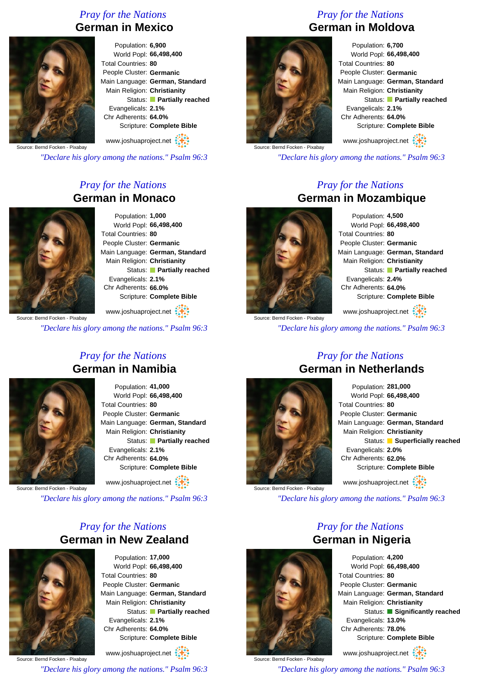#### *Pray for the Nations* **German in Mexico**



Population: **6,900** World Popl: **66,498,400** Total Countries: **80** People Cluster: **Germanic** Main Language: **German, Standard** Main Religion: **Christianity** Status: **Partially reached** Evangelicals: **2.1%** Chr Adherents: **64.0%** Scripture: **Complete Bible**

www.joshuaproject.net

Source: Bernd Focken - Pixabay

*"Declare his glory among the nations." Psalm 96:3*

#### *Pray for the Nations* **German in Monaco**



Population: **1,000** World Popl: **66,498,400** Total Countries: **80** People Cluster: **Germanic** Main Language: **German, Standard** Main Religion: **Christianity** Status: **Partially reached** Evangelicals: **2.1%** Chr Adherents: **66.0%** Scripture: **Complete Bible**

www.joshuaproject.net

*"Declare his glory among the nations." Psalm 96:3*

#### *Pray for the Nations* **German in Namibia**



Population: **41,000** World Popl: **66,498,400** Total Countries: **80** People Cluster: **Germanic** Main Language: **German, Standard** Main Religion: **Christianity** Status: **Partially reached** Evangelicals: **2.1%** Chr Adherents: **64.0%** Scripture: **Complete Bible**

www.joshuaproject.net :

Source: Bernd Focken - Pixabay

*"Declare his glory among the nations." Psalm 96:3*

#### *Pray for the Nations* **German in New Zealand**



Population: **17,000** World Popl: **66,498,400** Total Countries: **80** People Cluster: **Germanic** Main Language: **German, Standard** Main Religion: **Christianity** Status: **Partially reached** Evangelicals: **2.1%** Chr Adherents: **64.0%** Scripture: **Complete Bible**

Source: Bernd Focken - Pixabay www.joshuaproject.net *"Declare his glory among the nations." Psalm 96:3*

#### *Pray for the Nations* **German in Moldova**



Population: **6,700** World Popl: **66,498,400** Total Countries: **80** People Cluster: **Germanic** Main Language: **German, Standard** Main Religion: **Christianity** Status: **Partially reached** Evangelicals: **2.1%** Chr Adherents: **64.0%** Scripture: **Complete Bible** www.joshuaproject.net

Source: Bernd Focken - Pixabay

*"Declare his glory among the nations." Psalm 96:3*

#### *Pray for the Nations* **German in Mozambique**



Population: **4,500** World Popl: **66,498,400** Total Countries: **80** People Cluster: **Germanic** Main Language: **German, Standard** Main Religion: **Christianity** Status: **Partially reached** Evangelicals: **2.4%** Chr Adherents: **64.0%** Scripture: **Complete Bible**

Source: Bernd Focken - Pixabay www.joshuaproject.net

*"Declare his glory among the nations." Psalm 96:3*



Source: Bernd Focken - Pixabay

Source: Bernd Focken - Pixabay

# **German in Netherlands**

Population: **281,000** World Popl: **66,498,400** Total Countries: **80** People Cluster: **Germanic** Main Language: **German, Standard** Main Religion: **Christianity** Status: **Superficially reached** Evangelicals: **2.0%** Chr Adherents: **62.0%** Scripture: **Complete Bible** www.joshuaproject.net

*"Declare his glory among the nations." Psalm 96:3*

#### *Pray for the Nations* **German in Nigeria**



Population: **4,200** World Popl: **66,498,400** Total Countries: **80** People Cluster: **Germanic** Main Language: **German, Standard** Main Religion: **Christianity** Status: **Significantly reached** Evangelicals: **13.0%** Chr Adherents: **78.0%** Scripture: **Complete Bible**

www.joshuaproject.net

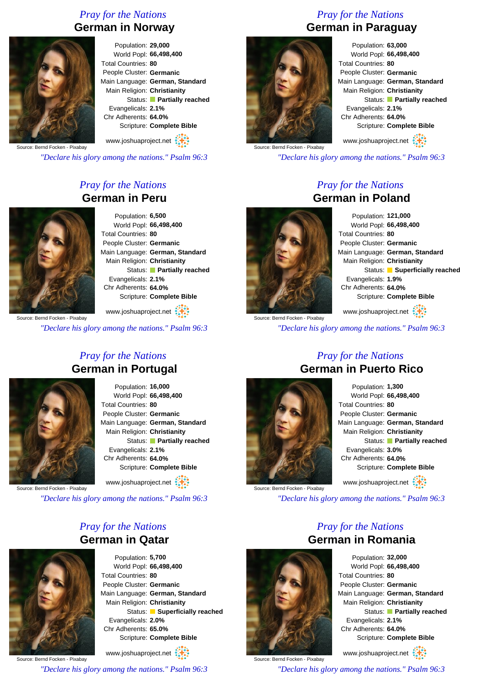#### *Pray for the Nations* **German in Norway**



Population: **29,000** World Popl: **66,498,400** Total Countries: **80** People Cluster: **Germanic** Main Language: **German, Standard** Main Religion: **Christianity** Status: **Partially reached** Evangelicals: **2.1%** Chr Adherents: **64.0%** Scripture: **Complete Bible**

Source: Bernd Focken - Pixabay www.joshuaproject.net

*"Declare his glory among the nations." Psalm 96:3*

#### *Pray for the Nations* **German in Peru**



Population: **6,500** World Popl: **66,498,400** Total Countries: **80** People Cluster: **Germanic** Main Language: **German, Standard** Main Religion: **Christianity** Status: **Partially reached** Evangelicals: **2.1%** Chr Adherents: **64.0%** Scripture: **Complete Bible**

www.joshuaproject.net

*"Declare his glory among the nations." Psalm 96:3*

#### *Pray for the Nations* **German in Portugal**



Population: **16,000** World Popl: **66,498,400** Total Countries: **80** People Cluster: **Germanic** Main Language: **German, Standard** Main Religion: **Christianity** Status: **Partially reached** Evangelicals: **2.1%** Chr Adherents: **64.0%** Scripture: **Complete Bible**

www.joshuaproject.net

Source: Bernd Focken - Pixabay

*"Declare his glory among the nations." Psalm 96:3*

#### *Pray for the Nations* **German in Qatar**



Population: **5,700** World Popl: **66,498,400** Total Countries: **80** People Cluster: **Germanic** Main Language: **German, Standard** Main Religion: **Christianity** Status: **Superficially reached** Evangelicals: **2.0%** Chr Adherents: **65.0%** Scripture: **Complete Bible**

Source: Bernd Focken - Pixabay www.joshuaproject.net *"Declare his glory among the nations." Psalm 96:3*

*Pray for the Nations* **German in Paraguay**



Source: Bernd Focken - Pixabay

Population: **63,000** World Popl: **66,498,400** Total Countries: **80** People Cluster: **Germanic** Main Language: **German, Standard** Main Religion: **Christianity** Status: **Partially reached** Evangelicals: **2.1%** Chr Adherents: **64.0%** Scripture: **Complete Bible** www.joshuaproject.net

*"Declare his glory among the nations." Psalm 96:3*

#### *Pray for the Nations* **German in Poland**



Population: **121,000** World Popl: **66,498,400** Total Countries: **80** People Cluster: **Germanic** Main Language: **German, Standard** Main Religion: **Christianity** Status: **Superficially reached** Evangelicals: **1.9%** Chr Adherents: **64.0%** Scripture: **Complete Bible**

Source: Bernd Focken - Pixabay www.joshuaproject.net

*"Declare his glory among the nations." Psalm 96:3*



Source: Bernd Focken - Pixabay

#### *Pray for the Nations* **German in Puerto Rico**

Population: **1,300** World Popl: **66,498,400** Total Countries: **80** People Cluster: **Germanic** Main Language: **German, Standard** Main Religion: **Christianity** Status: **Partially reached** Evangelicals: **3.0%** Chr Adherents: **64.0%** Scripture: **Complete Bible** www.joshuaproject.net

*"Declare his glory among the nations." Psalm 96:3*

*Pray for the Nations*



Population: **32,000** World Popl: **66,498,400** Total Countries: **80** People Cluster: **Germanic** Main Language: **German, Standard** Main Religion: **Christianity** Status: **Partially reached** Evangelicals: **2.1%** Chr Adherents: **64.0%** Scripture: **Complete Bible**

www.joshuaproject.net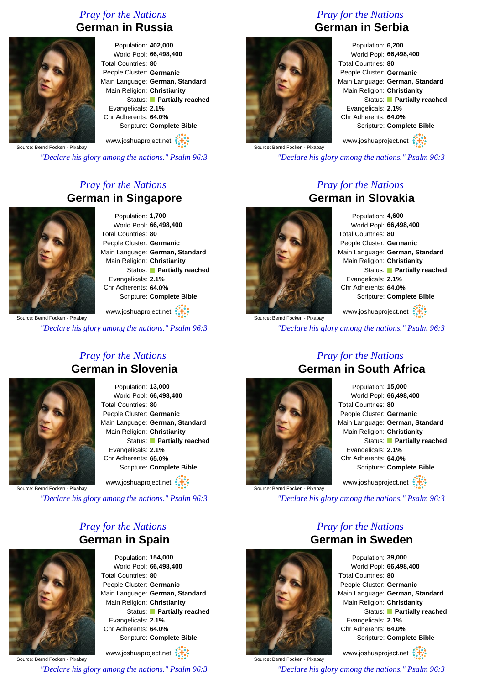#### *Pray for the Nations* **German in Russia**



Population: **402,000** World Popl: **66,498,400** Total Countries: **80** People Cluster: **Germanic** Main Language: **German, Standard** Main Religion: **Christianity** Status: **Partially reached** Evangelicals: **2.1%** Chr Adherents: **64.0%** Scripture: **Complete Bible**

www.joshuaproject.net

Source: Bernd Focken - Pixabay

*"Declare his glory among the nations." Psalm 96:3*

#### *Pray for the Nations* **German in Singapore**



Population: **1,700** World Popl: **66,498,400** Total Countries: **80** People Cluster: **Germanic** Main Language: **German, Standard** Main Religion: **Christianity** Status: **Partially reached** Evangelicals: **2.1%** Chr Adherents: **64.0%** Scripture: **Complete Bible**

www.joshuaproject.net

*"Declare his glory among the nations." Psalm 96:3*

#### *Pray for the Nations* **German in Slovenia**



Population: **13,000** World Popl: **66,498,400** Total Countries: **80** People Cluster: **Germanic** Main Language: **German, Standard** Main Religion: **Christianity** Status: **Partially reached** Evangelicals: **2.1%** Chr Adherents: **65.0%** Scripture: **Complete Bible**

www.joshuaproject.net :

Source: Bernd Focken - Pixabay

*"Declare his glory among the nations." Psalm 96:3*

#### *Pray for the Nations* **German in Spain**



Population: **154,000** World Popl: **66,498,400** Total Countries: **80** People Cluster: **Germanic** Main Language: **German, Standard** Main Religion: **Christianity** Status: **Partially reached** Evangelicals: **2.1%** Chr Adherents: **64.0%** Scripture: **Complete Bible**

Source: Bernd Focken - Pixabay www.joshuaproject.net *"Declare his glory among the nations." Psalm 96:3*

#### *Pray for the Nations* **German in Serbia**



Population: **6,200** World Popl: **66,498,400** Total Countries: **80** People Cluster: **Germanic** Main Language: **German, Standard** Main Religion: **Christianity** Status: **Partially reached** Evangelicals: **2.1%** Chr Adherents: **64.0%** Scripture: **Complete Bible** www.joshuaproject.net

Source: Bernd Focken - Pixabay

*"Declare his glory among the nations." Psalm 96:3*

#### *Pray for the Nations* **German in Slovakia**



Source: Bernd Focken - Pixabay

Population: **4,600** World Popl: **66,498,400** Total Countries: **80** People Cluster: **Germanic** Main Language: **German, Standard** Main Religion: **Christianity** Status: **Partially reached** Evangelicals: **2.1%** Chr Adherents: **64.0%** Scripture: **Complete Bible**

www.joshuaproject.net

*"Declare his glory among the nations." Psalm 96:3*



Source: Bernd Focken - Pixabay

#### *Pray for the Nations* **German in South Africa**

Population: **15,000** World Popl: **66,498,400** Total Countries: **80** People Cluster: **Germanic** Main Language: **German, Standard** Main Religion: **Christianity** Status: **Partially reached** Evangelicals: **2.1%** Chr Adherents: **64.0%** Scripture: **Complete Bible** www.joshuaproject.net

*"Declare his glory among the nations." Psalm 96:3*

*Pray for the Nations* **German in Sweden**

Source: Bernd Focken - Pixabay



www.joshuaproject.net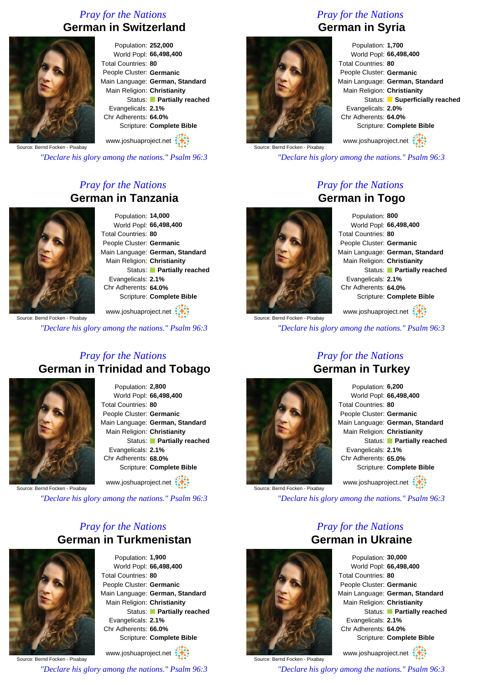#### *Pray for the Nations* **German in Switzerland**



Population: **252,000** World Popl: **66,498,400** Total Countries: **80** People Cluster: **Germanic** Main Language: **German, Standard** Main Religion: **Christianity** Status: **Partially reached** Evangelicals: **2.1%** Chr Adherents: **64.0%** Scripture: **Complete Bible**

www.joshuaproject.net

Source: Bernd Focken - Pixabay

*"Declare his glory among the nations." Psalm 96:3*

#### *Pray for the Nations* **German in Tanzania**



Population: **14,000** World Popl: **66,498,400** Total Countries: **80** People Cluster: **Germanic** Main Language: **German, Standard** Main Religion: **Christianity** Status: **Partially reached** Evangelicals: **2.1%** Chr Adherents: **64.0%** Scripture: **Complete Bible**

www.joshuaproject.net

*"Declare his glory among the nations." Psalm 96:3*

#### *Pray for the Nations* **German in Trinidad and Tobago**



Population: **2,800** World Popl: **66,498,400** Total Countries: **80** People Cluster: **Germanic** Main Language: **German, Standard** Main Religion: **Christianity** Status: **Partially reached** Evangelicals: **2.1%** Chr Adherents: **68.0%** Scripture: **Complete Bible**

www.joshuaproject.net

Source: Bernd Focken - Pixabay

*"Declare his glory among the nations." Psalm 96:3*

#### *Pray for the Nations* **German in Turkmenistan**



Population: **1,900** World Popl: **66,498,400** Total Countries: **80** People Cluster: **Germanic** Main Language: **German, Standard** Main Religion: **Christianity** Status: **Partially reached** Evangelicals: **2.1%** Chr Adherents: **66.0%** Scripture: **Complete Bible**

Source: Bernd Focken - Pixabay www.joshuaproject.net

*"Declare his glory among the nations." Psalm 96:3*

#### *Pray for the Nations* **German in Syria**



Population: **1,700** World Popl: **66,498,400** Total Countries: **80** People Cluster: **Germanic** Main Language: **German, Standard** Main Religion: **Christianity** Status: **Superficially reached** Evangelicals: **2.0%** Chr Adherents: **64.0%** Scripture: **Complete Bible**

www.joshuaproject.net

*"Declare his glory among the nations." Psalm 96:3*

#### *Pray for the Nations* **German in Togo**



Source: Bernd Focken - Pixabay

Population: **800** World Popl: **66,498,400** Total Countries: **80** People Cluster: **Germanic** Main Language: **German, Standard** Main Religion: **Christianity** Status: **Partially reached** Evangelicals: **2.1%** Chr Adherents: **64.0%** Scripture: **Complete Bible**

www.joshuaproject.net

*"Declare his glory among the nations." Psalm 96:3*



Source: Bernd Focken - Pixabay

| Population: 6,200               |                           |
|---------------------------------|---------------------------|
| World Popl: 66,498,400          |                           |
| Total Countries: 80             |                           |
| People Cluster: Germanic        |                           |
| Main Language: German, Standard |                           |
| Main Religion: Christianity     |                           |
|                                 | Status: Partially reached |
| Evangelicals: 2.1%              |                           |
| Chr Adherents: 65.0%            |                           |
| Scripture: Complete Bible       |                           |
| www.joshuaproject.net           |                           |

*"Declare his glory among the nations." Psalm 96:3*

### *Pray for the Nations* **German in Ukraine**



Source: Bernd Focken - Pixabay

Population: **30,000** World Popl: **66,498,400** Total Countries: **80** People Cluster: **Germanic** Main Language: **German, Standard** Main Religion: **Christianity** Status: **Partially reached** Evangelicals: **2.1%** Chr Adherents: **64.0%** Scripture: **Complete Bible**

www.joshuaproject.net

*"Declare his glory among the nations." Psalm 96:3*

### *Pray for the Nations* **German in Turkey**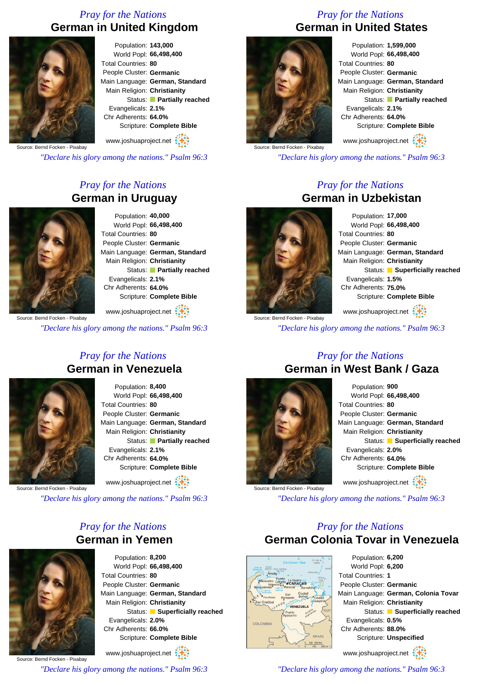#### *Pray for the Nations* **German in United Kingdom**



Population: **143,000** World Popl: **66,498,400** Total Countries: **80** People Cluster: **Germanic** Main Language: **German, Standard** Main Religion: **Christianity** Status: **Partially reached** Evangelicals: **2.1%** Chr Adherents: **64.0%** Scripture: **Complete Bible**

www.joshuaproject.net

Source: Bernd Focken - Pixabay

*"Declare his glory among the nations." Psalm 96:3*

#### *Pray for the Nations* **German in Uruguay**



Population: **40,000** World Popl: **66,498,400** Total Countries: **80** People Cluster: **Germanic** Main Language: **German, Standard** Main Religion: **Christianity** Status: **Partially reached** Evangelicals: **2.1%** Chr Adherents: **64.0%** Scripture: **Complete Bible**

www.joshuaproject.net

*"Declare his glory among the nations." Psalm 96:3*

#### *Pray for the Nations* **German in Venezuela**



Population: **8,400** World Popl: **66,498,400** Total Countries: **80** People Cluster: **Germanic** Main Language: **German, Standard** Main Religion: **Christianity** Status: **Partially reached** Evangelicals: **2.1%** Chr Adherents: **64.0%** Scripture: **Complete Bible**

www.joshuaproject.net

Source: Bernd Focken - Pixabay

*"Declare his glory among the nations." Psalm 96:3*

#### *Pray for the Nations* **German in Yemen**



Population: **8,200** World Popl: **66,498,400** Total Countries: **80** People Cluster: **Germanic** Main Language: **German, Standard** Main Religion: **Christianity** Status: **Superficially reached** Evangelicals: **2.0%** Chr Adherents: **66.0%** Scripture: **Complete Bible** www.joshuaproject.net

Source: Bernd Focken - Pixabay

*"Declare his glory among the nations." Psalm 96:3*

#### *Pray for the Nations* **German in United States**



Population: **1,599,000** World Popl: **66,498,400** Total Countries: **80** People Cluster: **Germanic** Main Language: **German, Standard** Main Religion: **Christianity** Status: **Partially reached** Evangelicals: **2.1%** Chr Adherents: **64.0%** Scripture: **Complete Bible** www.joshuaproject.net

Source: Bernd Focken - Pixabay

*"Declare his glory among the nations." Psalm 96:3*

#### *Pray for the Nations* **German in Uzbekistan**



Source: Bernd Focken - Pixabay

Population: **17,000** World Popl: **66,498,400** Total Countries: **80** People Cluster: **Germanic** Main Language: **German, Standard** Main Religion: **Christianity** Status: **Superficially reached** Evangelicals: **1.5%** Chr Adherents: **75.0%** Scripture: **Complete Bible**

www.joshuaproject.net

*"Declare his glory among the nations." Psalm 96:3*



Source: Bernd Focken - Pixabay

#### *Pray for the Nations* **German in West Bank / Gaza**

Population: **900** World Popl: **66,498,400** Total Countries: **80** People Cluster: **Germanic** Main Language: **German, Standard** Main Religion: **Christianity** Status: **Superficially reached** Evangelicals: **2.0%** Chr Adherents: **64.0%** Scripture: **Complete Bible** www.joshuaproject.net

*"Declare his glory among the nations." Psalm 96:3*

#### *Pray for the Nations* **German Colonia Tovar in Venezuela**



Population: **6,200** World Popl: **6,200** Total Countries: **1** People Cluster: **Germanic** Main Language: **German, Colonia Tovar** Main Religion: **Christianity** Status: **Superficially reached** Evangelicals: **0.5%** Chr Adherents: **88.0%** Scripture: **Unspecified** www.joshuaproject.net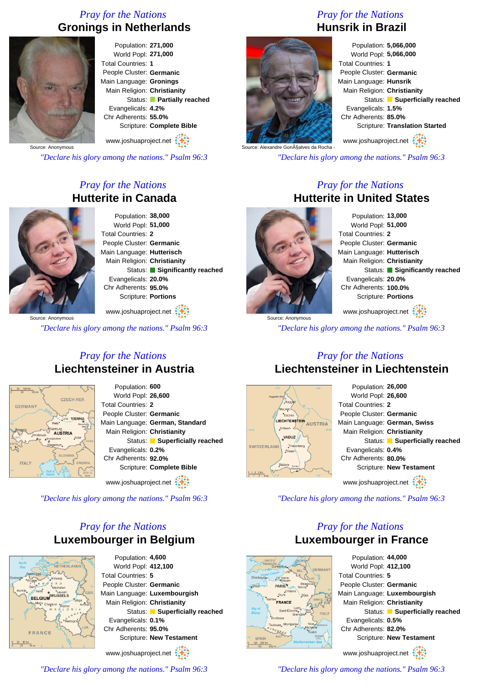#### *Pray for the Nations* **Gronings in Netherlands**



Population: **271,000** World Popl: **271,000** Total Countries: **1** People Cluster: **Germanic** Main Language: **Gronings** Main Religion: **Christianity** Status: **Partially reached** Evangelicals: **4.2%** Chr Adherents: **55.0%** Scripture: **Complete Bible**

www.joshuaproject.net

*"Declare his glory among the nations." Psalm 96:3*

#### *Pray for the Nations* **Hutterite in Canada**



Population: **38,000** World Popl: **51,000** Total Countries: **2** People Cluster: **Germanic** Main Language: **Hutterisch** Main Religion: **Christianity** Status: **Significantly reached** Evangelicals: **20.0%** Chr Adherents: **95.0%** Scripture: **Portions**

Source: Anonymous www.joshuaproject.net

*"Declare his glory among the nations." Psalm 96:3*

#### *Pray for the Nations* **Liechtensteiner in Austria**

Population: **600**



World Popl: **26,600** Total Countries: **2** People Cluster: **Germanic** Main Language: **German, Standard** Main Religion: **Christianity** Status: **Superficially reached** Evangelicals: **0.2%** Chr Adherents: **92.0%** Scripture: **Complete Bible** www.joshuaproject.net

*"Declare his glory among the nations." Psalm 96:3*

#### *Pray for the Nations* **Luxembourger in Belgium**



Population: **4,600** World Popl: **412,100** Total Countries: **5** People Cluster: **Germanic** Main Language: **Luxembourgish** Main Religion: **Christianity** Status: **Superficially reached** Evangelicals: **0.1%** Chr Adherents: **95.0%** Scripture: **New Testament**

www.joshuaproject.net

*"Declare his glory among the nations." Psalm 96:3*

## *Pray for the Nations* **Hunsrik in Brazil**



Population: **5,066,000** World Popl: **5,066,000** Total Countries: **1** People Cluster: **Germanic** Main Language: **Hunsrik** Main Religion: **Christianity** Status: **Superficially reached** Evangelicals: **1.5%** Chr Adherents: **85.0%** Scripture: **Translation Started**

www.joshuaproject.net

*"Declare his glory among the nations." Psalm 96:3*

#### *Pray for the Nations* **Hutterite in United States**



Source: Anonymous

Population: **13,000** World Popl: **51,000** Total Countries: **2** People Cluster: **Germanic** Main Language: **Hutterisch** Main Religion: **Christianity** Status: **Significantly reached** Evangelicals: **20.0%** Chr Adherents: **100.0%** Scripture: **Portions**

www.joshuaproject.net

*"Declare his glory among the nations." Psalm 96:3*

#### *Pray for the Nations* **Liechtensteiner in Liechtenstein**



Population: **26,000** World Popl: **26,600** Total Countries: **2** People Cluster: **Germanic** Main Language: **German, Swiss** Main Religion: **Christianity** Status: **Superficially reached** Evangelicals: **0.4%** Chr Adherents: **80.0%** Scripture: **New Testament** www.joshuaproject.net

*"Declare his glory among the nations." Psalm 96:3*

#### *Pray for the Nations* **Luxembourger in France**



Population: **44,000** World Popl: **412,100** Total Countries: **5** People Cluster: **Germanic** Main Language: **Luxembourgish** Main Religion: **Christianity** Status: **Superficially reached** Evangelicals: **0.5%** Chr Adherents: **82.0%** Scripture: **New Testament** www.joshuaproject.net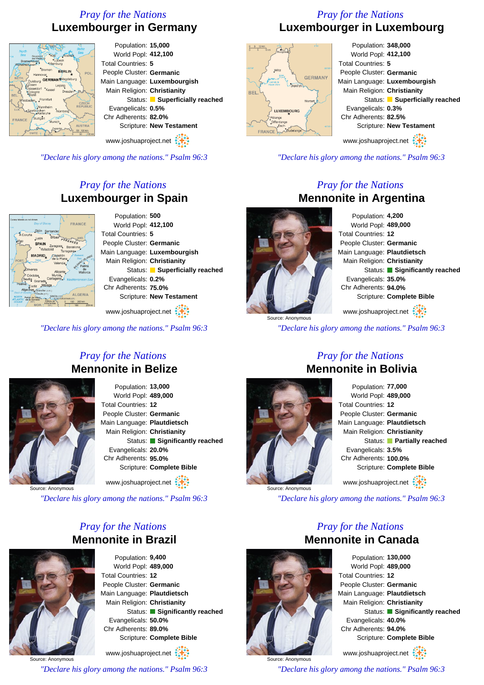#### *Pray for the Nations* **Luxembourger in Germany**



*"Declare his glory among the nations." Psalm 96:3*

#### *Pray for the Nations* **Luxembourger in Spain**



Population: **500** World Popl: **412,100** Total Countries: **5** People Cluster: **Germanic** Main Language: **Luxembourgish** Main Religion: **Christianity** Status: **Superficially reached** Evangelicals: **0.2%** Chr Adherents: **75.0%** Scripture: **New Testament**

www.joshuaproject.net

*"Declare his glory among the nations." Psalm 96:3*

*Pray for the Nations*

#### *Pray for the Nations* **Luxembourger in Luxembourg**



*"Declare his glory among the nations." Psalm 96:3*

#### *Pray for the Nations* **Mennonite in Argentina**

Population: **4,200** World Popl: **489,000** Total Countries: **12** People Cluster: **Germanic** Main Language: **Plautdietsch** Main Religion: **Christianity** Status: **Significantly reached** Evangelicals: **35.0%** Chr Adherents: **94.0%** Scripture: **Complete Bible**

www.joshuaproject.net

*"Declare his glory among the nations." Psalm 96:3*

# **Mennonite in Belize**

Population: **13,000** World Popl: **489,000** Total Countries: **12** People Cluster: **Germanic** Main Language: **Plautdietsch** Main Religion: **Christianity** Status: **Significantly reached** Evangelicals: **20.0%** Chr Adherents: **95.0%**

Scripture: **Complete Bible** www.joshuaproject.net

Source: Anonymou

*"Declare his glory among the nations." Psalm 96:3*

#### *Pray for the Nations* **Mennonite in Brazil**



Population: **9,400** World Popl: **489,000** Total Countries: **12** People Cluster: **Germanic** Main Language: **Plautdietsch** Main Religion: **Christianity** Status: **Significantly reached** Evangelicals: **50.0%** Chr Adherents: **89.0%** Scripture: **Complete Bible** www.joshuaproject.net

Source: Anonymous *"Declare his glory among the nations." Psalm 96:3*



Source: Anonymous

#### *Pray for the Nations* **Mennonite in Bolivia** Population: **77,000**

*"Declare his glory among the nations." Psalm 96:3*



Source: Anonymous

*Pray for the Nations* **Mennonite in Canada**

> Population: **130,000** World Popl: **489,000** Total Countries: **12** People Cluster: **Germanic** Main Language: **Plautdietsch** Main Religion: **Christianity** Status: **Significantly reached** Evangelicals: **40.0%** Chr Adherents: **94.0%** Scripture: **Complete Bible** www.joshuaproject.net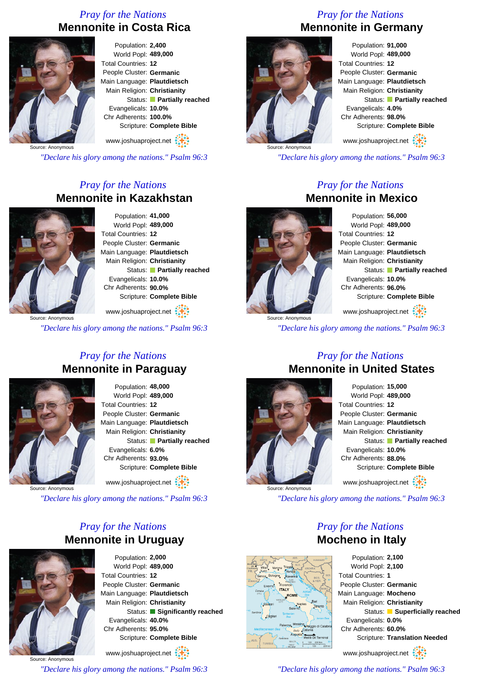#### *Pray for the Nations* **Mennonite in Costa Rica**



Population: **2,400** World Popl: **489,000** Total Countries: **12** People Cluster: **Germanic** Main Language: **Plautdietsch** Main Religion: **Christianity** Status: **Partially reached** Evangelicals: **10.0%** Chr Adherents: **100.0%** Scripture: **Complete Bible** www.joshuaproject.net

Source: Anonymous

*"Declare his glory among the nations." Psalm 96:3*

#### *Pray for the Nations* **Mennonite in Kazakhstan**



Population: **41,000** World Popl: **489,000** Total Countries: **12** People Cluster: **Germanic** Main Language: **Plautdietsch** Main Religion: **Christianity** Status: **Partially reached** Evangelicals: **10.0%** Chr Adherents: **90.0%** Scripture: **Complete Bible**

www.joshuaproject.net

Source: Anonymous

*"Declare his glory among the nations." Psalm 96:3*

#### *Pray for the Nations* **Mennonite in Paraguay**



Population: **48,000** World Popl: **489,000** Total Countries: **12** People Cluster: **Germanic** Main Language: **Plautdietsch** Main Religion: **Christianity** Status: **Partially reached** Evangelicals: **6.0%** Chr Adherents: **93.0%** Scripture: **Complete Bible** www.joshuaproject.net

Source: Anonymous

*"Declare his glory among the nations." Psalm 96:3*

#### *Pray for the Nations* **Mennonite in Uruguay**



Population: **2,000** World Popl: **489,000** Total Countries: **12** People Cluster: **Germanic** Main Language: **Plautdietsch** Main Religion: **Christianity** Status: **Significantly reached** Evangelicals: **40.0%** Chr Adherents: **95.0%** Scripture: **Complete Bible** www.joshuaproject.net

Source: Anonymous *"Declare his glory among the nations." Psalm 96:3*

#### *Pray for the Nations* **Mennonite in Germany**



Population: **91,000** World Popl: **489,000** Total Countries: **12** People Cluster: **Germanic** Main Language: **Plautdietsch** Main Religion: **Christianity** Status: **Partially reached** Evangelicals: **4.0%** Chr Adherents: **98.0%** Scripture: **Complete Bible** www.joshuaproject.net

*"Declare his glory among the nations." Psalm 96:3*

#### *Pray for the Nations* **Mennonite in Mexico**

Source: Anonymous

Population: **56,000** World Popl: **489,000** Total Countries: **12** People Cluster: **Germanic** Main Language: **Plautdietsch** Main Religion: **Christianity** Status: **Partially reached** Evangelicals: **10.0%** Chr Adherents: **96.0%** Scripture: **Complete Bible**

www.joshuaproject.net

*"Declare his glory among the nations." Psalm 96:3*



#### *Pray for the Nations* **Mennonite in United States**

Population: **15,000** World Popl: **489,000** Total Countries: **12** People Cluster: **Germanic** Main Language: **Plautdietsch** Main Religion: **Christianity** Status: **Partially reached** Evangelicals: **10.0%** Chr Adherents: **88.0%** Scripture: **Complete Bible** www.joshuaproject.net

*"Declare his glory among the nations." Psalm 96:3*

*Pray for the Nations* **Mocheno in Italy**

Population: **2,100** World Popl: **2,100** Total Countries: **1** People Cluster: **Germanic** Main Language: **Mocheno** Main Religion: **Christianity** Status: **Superficially reached** Evangelicals: **0.0%** Chr Adherents: **60.0%** Scripture: **Translation Needed**

www.joshuaproject.net